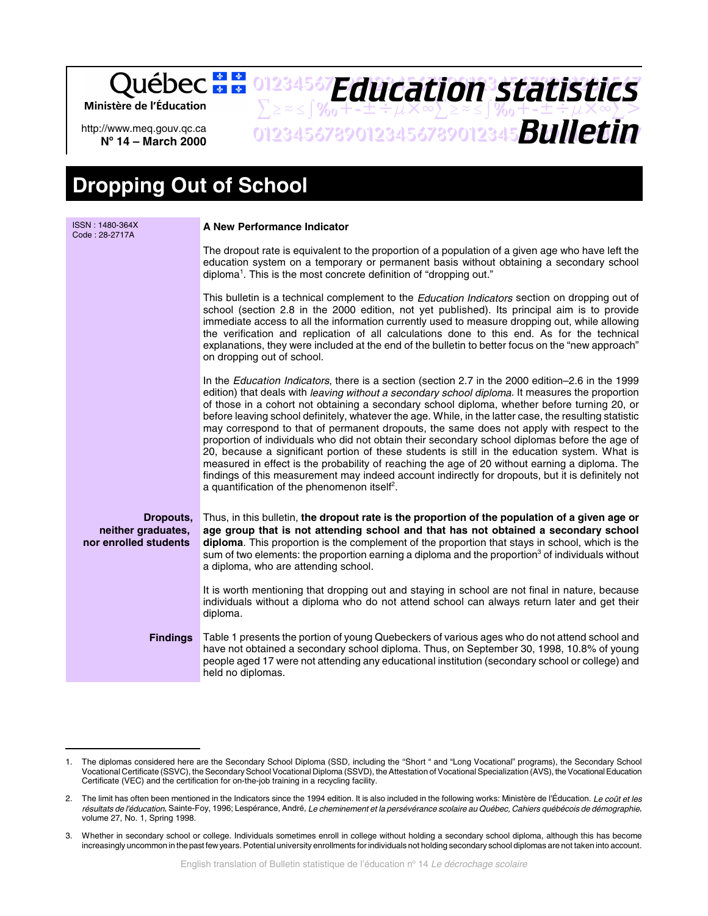Ministère de l'Éducation

http://www.meq.gouv.qc.ca **No 14 – March 2000**

 $\sum z \approx \int \%_0 + t \pm i \mu \times \infty \sum z \approx \int \%_0 + t \pm i \mu \times \infty \sum >$ 01234567890123456789012345678901234567 *Bulletin Education statistics*

01234567**F***duration craticfied* 

## **Dropping Out of School**

| ISSN: 1480-364X<br>Code: 28-2717A                        | A New Performance Indicator                                                                                                                                                                                                                                                                                                                                                                                                                                                                                                                                                                                                                                                                                                                                                                                                                                                                                                                                                              |
|----------------------------------------------------------|------------------------------------------------------------------------------------------------------------------------------------------------------------------------------------------------------------------------------------------------------------------------------------------------------------------------------------------------------------------------------------------------------------------------------------------------------------------------------------------------------------------------------------------------------------------------------------------------------------------------------------------------------------------------------------------------------------------------------------------------------------------------------------------------------------------------------------------------------------------------------------------------------------------------------------------------------------------------------------------|
|                                                          | The dropout rate is equivalent to the proportion of a population of a given age who have left the<br>education system on a temporary or permanent basis without obtaining a secondary school<br>diploma <sup>1</sup> . This is the most concrete definition of "dropping out."                                                                                                                                                                                                                                                                                                                                                                                                                                                                                                                                                                                                                                                                                                           |
|                                                          | This bulletin is a technical complement to the <i>Education Indicators</i> section on dropping out of<br>school (section 2.8 in the 2000 edition, not yet published). Its principal aim is to provide<br>immediate access to all the information currently used to measure dropping out, while allowing<br>the verification and replication of all calculations done to this end. As for the technical<br>explanations, they were included at the end of the bulletin to better focus on the "new approach"<br>on dropping out of school.                                                                                                                                                                                                                                                                                                                                                                                                                                                |
|                                                          | In the Education Indicators, there is a section (section 2.7 in the 2000 edition-2.6 in the 1999<br>edition) that deals with <i>leaving without a secondary school diploma</i> . It measures the proportion<br>of those in a cohort not obtaining a secondary school diploma, whether before turning 20, or<br>before leaving school definitely, whatever the age. While, in the latter case, the resulting statistic<br>may correspond to that of permanent dropouts, the same does not apply with respect to the<br>proportion of individuals who did not obtain their secondary school diplomas before the age of<br>20, because a significant portion of these students is still in the education system. What is<br>measured in effect is the probability of reaching the age of 20 without earning a diploma. The<br>findings of this measurement may indeed account indirectly for dropouts, but it is definitely not<br>a quantification of the phenomenon itself <sup>2</sup> . |
| Dropouts,<br>neither graduates,<br>nor enrolled students | Thus, in this bulletin, the dropout rate is the proportion of the population of a given age or<br>age group that is not attending school and that has not obtained a secondary school<br>diploma. This proportion is the complement of the proportion that stays in school, which is the<br>sum of two elements: the proportion earning a diploma and the proportion <sup>3</sup> of individuals without<br>a diploma, who are attending school.                                                                                                                                                                                                                                                                                                                                                                                                                                                                                                                                         |
|                                                          | It is worth mentioning that dropping out and staying in school are not final in nature, because<br>individuals without a diploma who do not attend school can always return later and get their<br>diploma.                                                                                                                                                                                                                                                                                                                                                                                                                                                                                                                                                                                                                                                                                                                                                                              |
| <b>Findings</b>                                          | Table 1 presents the portion of young Quebeckers of various ages who do not attend school and<br>have not obtained a secondary school diploma. Thus, on September 30, 1998, 10.8% of young<br>people aged 17 were not attending any educational institution (secondary school or college) and<br>held no diplomas.                                                                                                                                                                                                                                                                                                                                                                                                                                                                                                                                                                                                                                                                       |

<sup>1.</sup> The diplomas considered here are the Secondary School Diploma (SSD, including the "Short " and "Long Vocational" programs), the Secondary School Vocational Certificate (SSVC), the Secondary School Vocational Diploma (SSVD), the Attestation of Vocational Specialization (AVS), the Vocational Education Certificate (VEC) and the certification for on-the-job training in a recycling facility.

<sup>2.</sup> The limit has often been mentioned in the Indicators since the 1994 edition. It is also included in the following works: Ministère de l'Éducation. Le coût et les résultats de l'éducation, Sainte-Foy, 1996; Lespérance, André, Le cheminement et la persévérance scolaire au Québec, Cahiers québécois de démographie, volume 27, No. 1, Spring 1998.

<sup>3.</sup> Whether in secondary school or college. Individuals sometimes enroll in college without holding a secondary school diploma, although this has become increasingly uncommon in the past few years. Potential university enrollments for individuals not holding secondary school diplomas are not taken into account.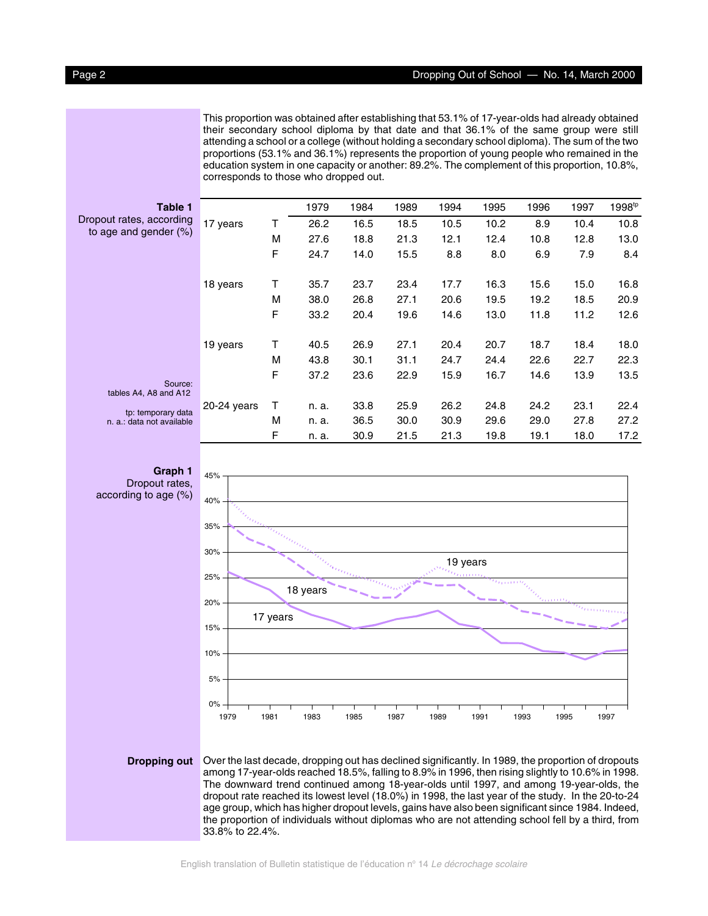This proportion was obtained after establishing that 53.1% of 17-year-olds had already obtained their secondary school diploma by that date and that 36.1% of the same group were still attending a school or a college (without holding a secondary school diploma). The sum of the two proportions (53.1% and 36.1%) represents the proportion of young people who remained in the education system in one capacity or another: 89.2%. The complement of this proportion, 10.8%, corresponds to those who dropped out.

| <b>Table 1</b>                                  |               |   | 1979  | 1984 | 1989 | 1994 | 1995 | 1996 | 1997 | 1998 <sup>tp</sup> |
|-------------------------------------------------|---------------|---|-------|------|------|------|------|------|------|--------------------|
| Dropout rates, according                        | 17 years      | Τ | 26.2  | 16.5 | 18.5 | 10.5 | 10.2 | 8.9  | 10.4 | 10.8               |
| to age and gender $(\%)$                        |               | М | 27.6  | 18.8 | 21.3 | 12.1 | 12.4 | 10.8 | 12.8 | 13.0               |
|                                                 |               | F | 24.7  | 14.0 | 15.5 | 8.8  | 8.0  | 6.9  | 7.9  | 8.4                |
|                                                 | 18 years      | т | 35.7  | 23.7 | 23.4 | 17.7 | 16.3 | 15.6 | 15.0 | 16.8               |
|                                                 |               | М | 38.0  | 26.8 | 27.1 | 20.6 | 19.5 | 19.2 | 18.5 | 20.9               |
|                                                 |               | F | 33.2  | 20.4 | 19.6 | 14.6 | 13.0 | 11.8 | 11.2 | 12.6               |
|                                                 | 19 years      | Τ | 40.5  | 26.9 | 27.1 | 20.4 | 20.7 | 18.7 | 18.4 | 18.0               |
|                                                 |               | М | 43.8  | 30.1 | 31.1 | 24.7 | 24.4 | 22.6 | 22.7 | 22.3               |
| Source:<br>tables A4, A8 and A12                |               | F | 37.2  | 23.6 | 22.9 | 15.9 | 16.7 | 14.6 | 13.9 | 13.5               |
|                                                 | $20-24$ years | т | n. a. | 33.8 | 25.9 | 26.2 | 24.8 | 24.2 | 23.1 | 22.4               |
| tp: temporary data<br>n. a.: data not available |               | М | n. a. | 36.5 | 30.0 | 30.9 | 29.6 | 29.0 | 27.8 | 27.2               |
|                                                 |               | F | n. a. | 30.9 | 21.5 | 21.3 | 19.8 | 19.1 | 18.0 | 17.2               |



**Dropping out** Over the last decade, dropping out has declined significantly. In 1989, the proportion of dropouts among 17-year-olds reached 18.5%, falling to 8.9% in 1996, then rising slightly to 10.6% in 1998. The downward trend continued among 18-year-olds until 1997, and among 19-year-olds, the dropout rate reached its lowest level (18.0%) in 1998, the last year of the study. In the 20-to-24 age group, which has higher dropout levels, gains have also been significant since 1984. Indeed, the proportion of individuals without diplomas who are not attending school fell by a third, from 33.8% to 22.4%.

English translation of Bulletin statistique de l'éducation nº 14 Le décrochage scolaire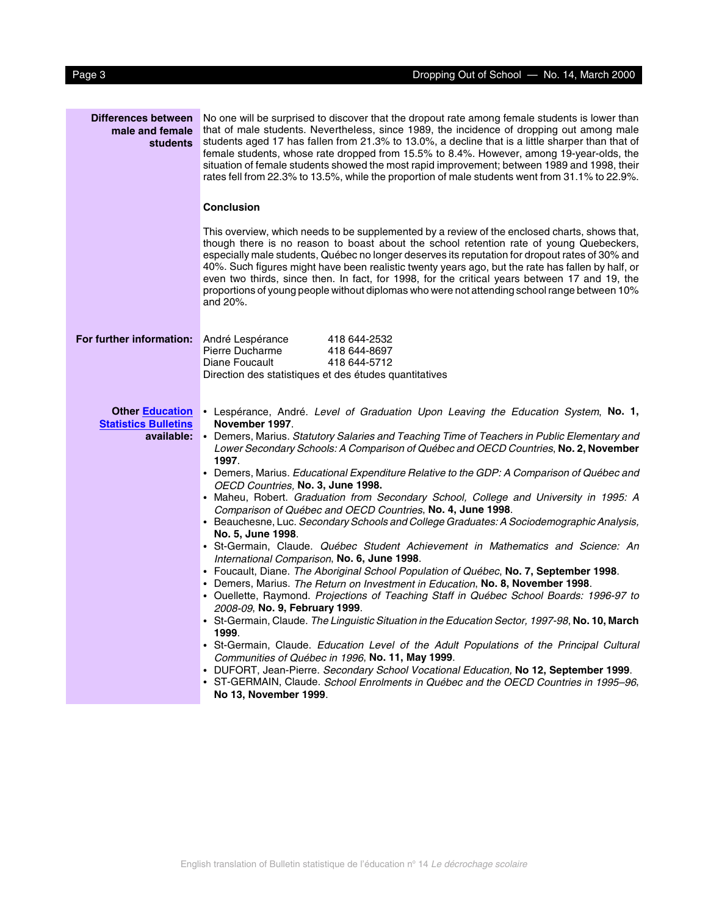| Differences between<br>male and female<br><b>students</b> | No one will be surprised to discover that the dropout rate among female students is lower than<br>that of male students. Nevertheless, since 1989, the incidence of dropping out among male<br>students aged 17 has fallen from 21.3% to 13.0%, a decline that is a little sharper than that of<br>female students, whose rate dropped from 15.5% to 8.4%. However, among 19-year-olds, the<br>situation of female students showed the most rapid improvement; between 1989 and 1998, their<br>rates fell from 22.3% to 13.5%, while the proportion of male students went from 31.1% to 22.9%.                |
|-----------------------------------------------------------|---------------------------------------------------------------------------------------------------------------------------------------------------------------------------------------------------------------------------------------------------------------------------------------------------------------------------------------------------------------------------------------------------------------------------------------------------------------------------------------------------------------------------------------------------------------------------------------------------------------|
|                                                           | <b>Conclusion</b>                                                                                                                                                                                                                                                                                                                                                                                                                                                                                                                                                                                             |
|                                                           | This overview, which needs to be supplemented by a review of the enclosed charts, shows that,<br>though there is no reason to boast about the school retention rate of young Quebeckers,<br>especially male students, Québec no longer deserves its reputation for dropout rates of 30% and<br>40%. Such figures might have been realistic twenty years ago, but the rate has fallen by half, or<br>even two thirds, since then. In fact, for 1998, for the critical years between 17 and 19, the<br>proportions of young people without diplomas who were not attending school range between 10%<br>and 20%. |
| For further information: André Lespérance                 | 418 644-2532<br>Pierre Ducharme<br>418 644-8697<br>Diane Foucault<br>418 644-5712<br>Direction des statistiques et des études quantitatives                                                                                                                                                                                                                                                                                                                                                                                                                                                                   |
|                                                           |                                                                                                                                                                                                                                                                                                                                                                                                                                                                                                                                                                                                               |
| <b>Other Education</b><br><b>Statistics Bulletins</b>     | • Lespérance, André. Level of Graduation Upon Leaving the Education System, No. 1,<br>November 1997.                                                                                                                                                                                                                                                                                                                                                                                                                                                                                                          |
| available:                                                | • Demers, Marius. Statutory Salaries and Teaching Time of Teachers in Public Elementary and<br>Lower Secondary Schools: A Comparison of Québec and OECD Countries, No. 2, November                                                                                                                                                                                                                                                                                                                                                                                                                            |
|                                                           | 1997.<br>• Demers, Marius. Educational Expenditure Relative to the GDP: A Comparison of Québec and                                                                                                                                                                                                                                                                                                                                                                                                                                                                                                            |
|                                                           | OECD Countries, No. 3, June 1998.<br>• Maheu, Robert. Graduation from Secondary School, College and University in 1995: A                                                                                                                                                                                                                                                                                                                                                                                                                                                                                     |
|                                                           | Comparison of Québec and OECD Countries, No. 4, June 1998.                                                                                                                                                                                                                                                                                                                                                                                                                                                                                                                                                    |
|                                                           | • Beauchesne, Luc. Secondary Schools and College Graduates: A Sociodemographic Analysis,<br>No. 5, June 1998.                                                                                                                                                                                                                                                                                                                                                                                                                                                                                                 |
|                                                           | · St-Germain, Claude. Québec Student Achievement in Mathematics and Science: An<br>International Comparison, No. 6, June 1998.                                                                                                                                                                                                                                                                                                                                                                                                                                                                                |
|                                                           | • Foucault, Diane. The Aboriginal School Population of Québec, No. 7, September 1998.                                                                                                                                                                                                                                                                                                                                                                                                                                                                                                                         |
|                                                           | Demers, Marius. The Return on Investment in Education, No. 8, November 1998.<br>• Ouellette, Raymond. Projections of Teaching Staff in Québec School Boards: 1996-97 to<br>2008-09, No. 9, February 1999.                                                                                                                                                                                                                                                                                                                                                                                                     |
|                                                           | • St-Germain, Claude. The Linguistic Situation in the Education Sector, 1997-98, No. 10, March<br>1999.                                                                                                                                                                                                                                                                                                                                                                                                                                                                                                       |
|                                                           | • St-Germain, Claude. Education Level of the Adult Populations of the Principal Cultural<br>Communities of Québec in 1996, No. 11, May 1999.                                                                                                                                                                                                                                                                                                                                                                                                                                                                  |
|                                                           | • DUFORT, Jean-Pierre. Secondary School Vocational Education, No 12, September 1999.<br>• ST-GERMAIN, Claude. School Enrolments in Québec and the OECD Countries in 1995–96,<br>No 13, November 1999.                                                                                                                                                                                                                                                                                                                                                                                                         |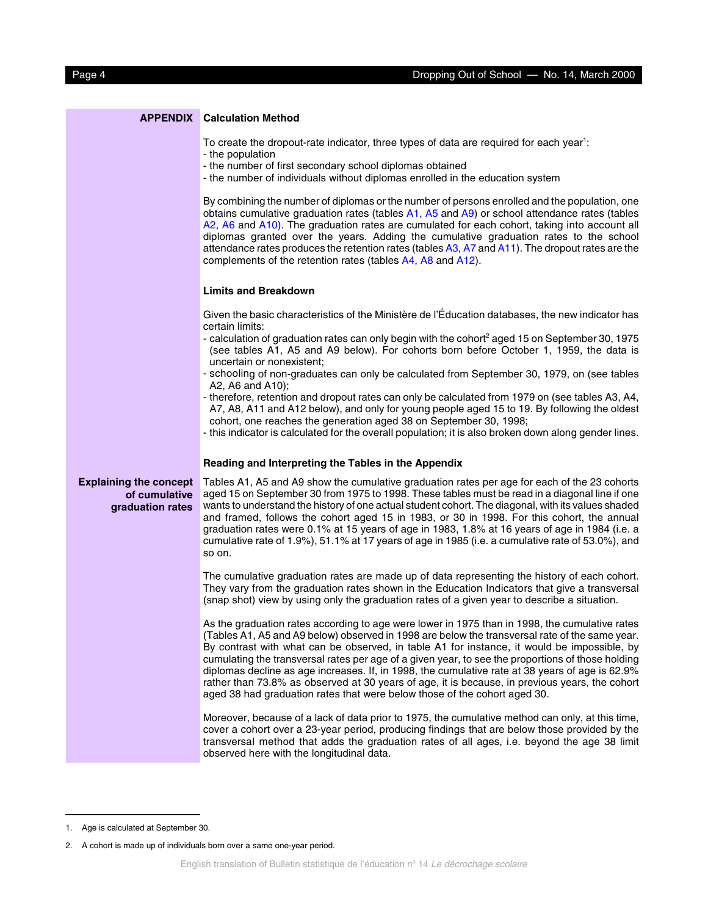|                                                                    | <b>APPENDIX</b> Calculation Method                                                                                                                                                                                                                                                                                                                                                                                                                                                                                                                                                                                                                                                     |
|--------------------------------------------------------------------|----------------------------------------------------------------------------------------------------------------------------------------------------------------------------------------------------------------------------------------------------------------------------------------------------------------------------------------------------------------------------------------------------------------------------------------------------------------------------------------------------------------------------------------------------------------------------------------------------------------------------------------------------------------------------------------|
|                                                                    | To create the dropout-rate indicator, three types of data are required for each year <sup>1</sup> :<br>- the population<br>- the number of first secondary school diplomas obtained<br>- the number of individuals without diplomas enrolled in the education system                                                                                                                                                                                                                                                                                                                                                                                                                   |
|                                                                    | By combining the number of diplomas or the number of persons enrolled and the population, one<br>obtains cumulative graduation rates (tables A1, A5 and A9) or school attendance rates (tables<br>A2, A6 and A10). The graduation rates are cumulated for each cohort, taking into account all<br>diplomas granted over the years. Adding the cumulative graduation rates to the school<br>attendance rates produces the retention rates (tables $A3$ , $A7$ and $A11$ ). The dropout rates are the<br>complements of the retention rates (tables A4, A8 and A12).                                                                                                                     |
|                                                                    | <b>Limits and Breakdown</b>                                                                                                                                                                                                                                                                                                                                                                                                                                                                                                                                                                                                                                                            |
|                                                                    | Given the basic characteristics of the Ministère de l'Éducation databases, the new indicator has<br>certain limits:                                                                                                                                                                                                                                                                                                                                                                                                                                                                                                                                                                    |
|                                                                    | - calculation of graduation rates can only begin with the cohort <sup>2</sup> aged 15 on September 30, 1975<br>(see tables A1, A5 and A9 below). For cohorts born before October 1, 1959, the data is<br>uncertain or nonexistent;                                                                                                                                                                                                                                                                                                                                                                                                                                                     |
|                                                                    | - schooling of non-graduates can only be calculated from September 30, 1979, on (see tables<br>A2, A6 and A10);                                                                                                                                                                                                                                                                                                                                                                                                                                                                                                                                                                        |
|                                                                    | - therefore, retention and dropout rates can only be calculated from 1979 on (see tables A3, A4,<br>A7, A8, A11 and A12 below), and only for young people aged 15 to 19. By following the oldest<br>cohort, one reaches the generation aged 38 on September 30, 1998;<br>- this indicator is calculated for the overall population; it is also broken down along gender lines.                                                                                                                                                                                                                                                                                                         |
|                                                                    | Reading and Interpreting the Tables in the Appendix                                                                                                                                                                                                                                                                                                                                                                                                                                                                                                                                                                                                                                    |
| <b>Explaining the concept</b><br>of cumulative<br>graduation rates | Tables A1, A5 and A9 show the cumulative graduation rates per age for each of the 23 cohorts<br>aged 15 on September 30 from 1975 to 1998. These tables must be read in a diagonal line if one<br>wants to understand the history of one actual student cohort. The diagonal, with its values shaded<br>and framed, follows the cohort aged 15 in 1983, or 30 in 1998. For this cohort, the annual<br>graduation rates were 0.1% at 15 years of age in 1983, 1.8% at 16 years of age in 1984 (i.e. a<br>cumulative rate of 1.9%), 51.1% at 17 years of age in 1985 (i.e. a cumulative rate of 53.0%), and<br>so on.                                                                    |
|                                                                    | The cumulative graduation rates are made up of data representing the history of each cohort.<br>They vary from the graduation rates shown in the Education Indicators that give a transversal<br>(snap shot) view by using only the graduation rates of a given year to describe a situation.                                                                                                                                                                                                                                                                                                                                                                                          |
|                                                                    | As the graduation rates according to age were lower in 1975 than in 1998, the cumulative rates<br>(Tables A1, A5 and A9 below) observed in 1998 are below the transversal rate of the same year.<br>By contrast with what can be observed, in table A1 for instance, it would be impossible, by<br>cumulating the transversal rates per age of a given year, to see the proportions of those holding<br>diplomas decline as age increases. If, in 1998, the cumulative rate at 38 years of age is 62.9%<br>rather than 73.8% as observed at 30 years of age, it is because, in previous years, the cohort<br>aged 38 had graduation rates that were below those of the cohort aged 30. |
|                                                                    | Moreover, because of a lack of data prior to 1975, the cumulative method can only, at this time,<br>cover a cohort over a 23-year period, producing findings that are below those provided by the<br>transversal method that adds the graduation rates of all ages, i.e. beyond the age 38 limit<br>observed here with the longitudinal data.                                                                                                                                                                                                                                                                                                                                          |

<sup>1.</sup> Age is calculated at September 30.

<sup>2.</sup> A cohort is made up of individuals born over a same one-year period.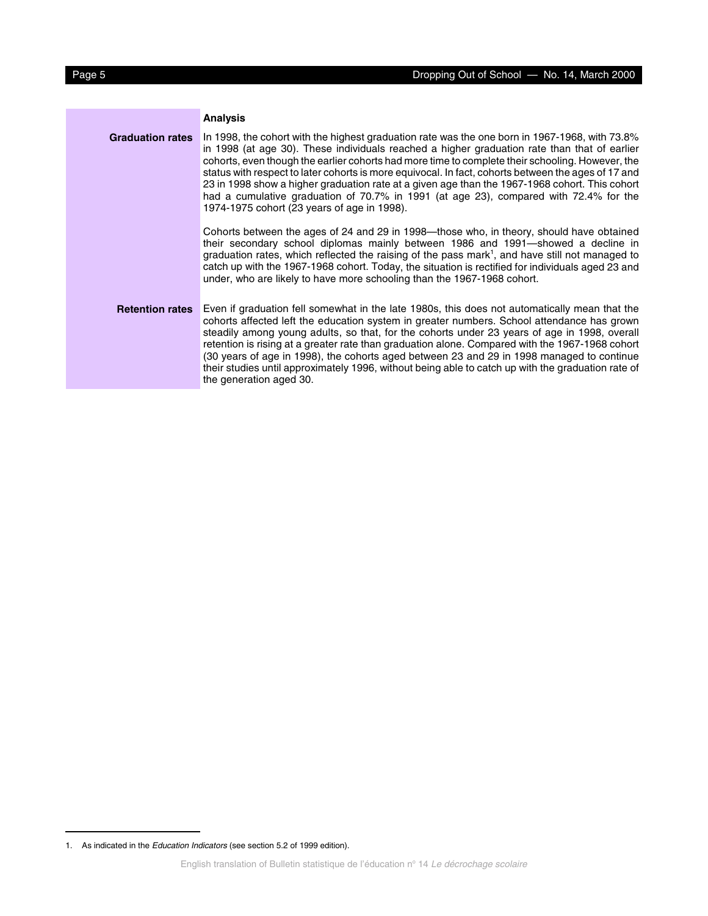|                         | <b>Analysis</b>                                                                                                                                                                                                                                                                                                                                                                                                                                                                                                                                                                                                                                     |
|-------------------------|-----------------------------------------------------------------------------------------------------------------------------------------------------------------------------------------------------------------------------------------------------------------------------------------------------------------------------------------------------------------------------------------------------------------------------------------------------------------------------------------------------------------------------------------------------------------------------------------------------------------------------------------------------|
| <b>Graduation rates</b> | In 1998, the cohort with the highest graduation rate was the one born in 1967-1968, with 73.8%<br>in 1998 (at age 30). These individuals reached a higher graduation rate than that of earlier<br>cohorts, even though the earlier cohorts had more time to complete their schooling. However, the<br>status with respect to later cohorts is more equivocal. In fact, cohorts between the ages of 17 and<br>23 in 1998 show a higher graduation rate at a given age than the 1967-1968 cohort. This cohort<br>had a cumulative graduation of 70.7% in 1991 (at age 23), compared with 72.4% for the<br>1974-1975 cohort (23 years of age in 1998). |
|                         | Cohorts between the ages of 24 and 29 in 1998—those who, in theory, should have obtained<br>their secondary school diplomas mainly between 1986 and 1991—showed a decline in<br>graduation rates, which reflected the raising of the pass mark <sup>1</sup> , and have still not managed to<br>catch up with the 1967-1968 cohort. Today, the situation is rectified for individuals aged 23 and<br>under, who are likely to have more schooling than the 1967-1968 cohort.                                                                                                                                                                         |
| <b>Retention rates</b>  | Even if graduation fell somewhat in the late 1980s, this does not automatically mean that the<br>cohorts affected left the education system in greater numbers. School attendance has grown<br>steadily among young adults, so that, for the cohorts under 23 years of age in 1998, overall<br>retention is rising at a greater rate than graduation alone. Compared with the 1967-1968 cohort<br>(30 years of age in 1998), the cohorts aged between 23 and 29 in 1998 managed to continue<br>their studies until approximately 1996, without being able to catch up with the graduation rate of<br>the generation aged 30.                        |

<sup>1.</sup> As indicated in the Education Indicators (see section 5.2 of 1999 edition).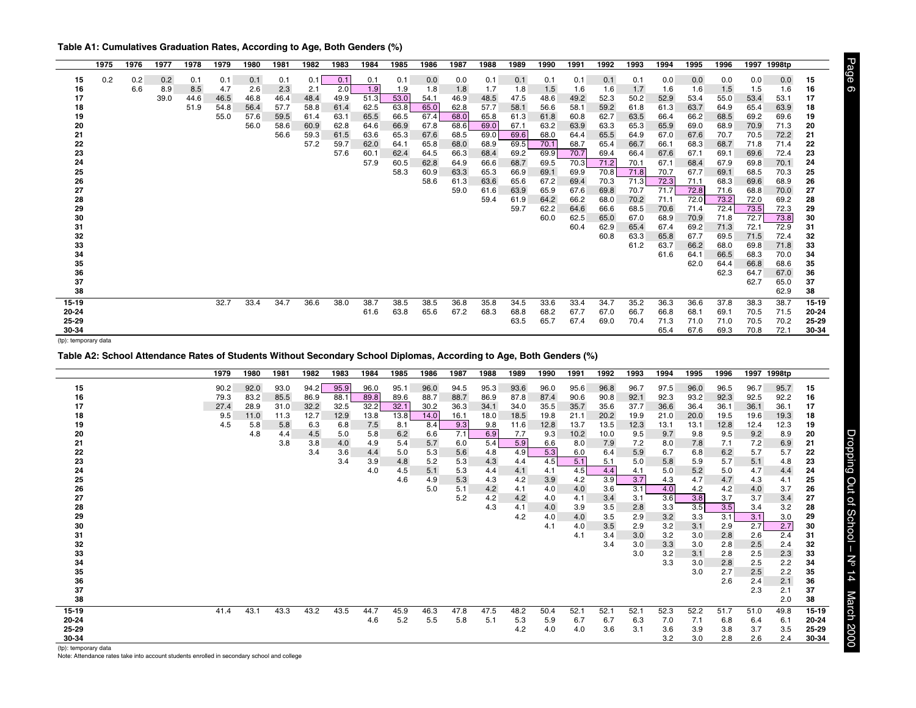<span id="page-5-0"></span>

| Table A1: Cumulatives Graduation Rates, According to Age, Both Genders (%) |  |  |  |
|----------------------------------------------------------------------------|--|--|--|
|                                                                            |  |  |  |

|           | 1975 | 1976 | 1977 | 1978 | 1979 | 1980 | 1981 | 1982 | 1983 | 1984 | 1985 | 1986 | 1987         | 1988         | 1989         | 1990         | 1991         | 1992         | 1993         | 1994         | 1995         | 1996         | 1997         | 1998tp       |           |
|-----------|------|------|------|------|------|------|------|------|------|------|------|------|--------------|--------------|--------------|--------------|--------------|--------------|--------------|--------------|--------------|--------------|--------------|--------------|-----------|
| 15        | 0.2  | 0.2  | 0.2  | 0.1  | 0.1  | 0.1  | 0.1  | 0.1  | 0.1  | 0.1  | 0.1  | 0.0  | 0.0          | 0.1          | 0.1          | 0.1          | 0.1          | 0.1          | 0.1          | 0.0          | 0.0          | 0.0          | 0.0          | 0.0          | 15        |
| 16        |      | 6.6  | 8.9  | 8.5  | 4.7  | 2.6  | 2.3  | 2.1  | 2.0  | 1.9  | 1.9  | 1.8  | 1.8          | 1.7          | 1.8          | 1.5          | 1.6          | 1.6          | 1.7          | 1.6          | 1.6          | 1.5          | 1.5          | 1.6          | 16        |
| 17        |      |      | 39.0 | 44.6 | 46.5 | 46.8 | 46.4 | 48.4 | 49.9 | 51.3 | 53.0 | 54.1 | 46.9         | 48.5         | 47.5         | 48.6         | 49.2         | 52.3         | 50.2         | 52.9         | 53.4         | 55.0         | 53.4         | 53.1         | 17        |
| 18        |      |      |      | 51.9 | 54.8 | 56.4 | 57.7 | 58.8 | 61.4 | 62.5 | 63.8 | 65.0 | 62.8         | 57.7         | 58.1         | 56.6         | 58.1         | 59.2         | 61.8         | 61.3         | 63.7         | 64.9         | 65.4         | 63.9         | 18        |
| 19        |      |      |      |      | 55.0 | 57.6 | 59.5 | 61.4 | 63.1 | 65.5 | 66.5 | 67.4 | 68.0         | 65.8         | 61.3         | 61.8         | 60.8         | 62.7         | 63.5         | 66.4         | 66.2         | 68.5         | 69.2         | 69.6         | 19        |
| 20        |      |      |      |      |      | 56.0 | 58.6 | 60.9 | 62.8 | 64.6 | 66.9 | 67.8 | 68.6         | 69.0         | 67.1         | 63.2         | 63.9         | 63.3         | 65.3         | 65.9         | 69.0         | 68.9         | 70.9         | 71.3         | 20        |
| 21        |      |      |      |      |      |      | 56.6 | 59.3 | 61.5 | 63.6 | 65.3 | 67.6 | 68.5         | 69.0         | 69.6         | 68.0         | 64.4         | 65.5         | 64.9         | 67.0         | 67.6         | 70.7         | 70.5         | 72.2         | 21        |
| 22        |      |      |      |      |      |      |      | 57.2 | 59.7 | 62.0 | 64.1 | 65.8 | 68.0         | 68.9         | 69.5         | 70.1         | 68.7         | 65.4         | 66.7         | 66.1         | 68.3         | 68.7         | 71.8         | 71.4         | 22        |
| 23        |      |      |      |      |      |      |      |      | 57.6 | 60.1 | 62.4 | 64.5 | 66.3         | 68.4         | 69.2         | 69.9         | 70.7         | 69.4         | 66.4         | 67.6         | 67.1         | 69.1         | 69.6         | 72.4         | 23        |
| 24        |      |      |      |      |      |      |      |      |      | 57.9 | 60.5 | 62.8 | 64.9         | 66.6         | 68.7         | 69.5         | 70.3         | 71.2         | 70.1         | 67.1         | 68.4         | 67.9         | 69.8         | 70.1         | 24        |
| 25        |      |      |      |      |      |      |      |      |      |      | 58.3 | 60.9 | 63.3         | 65.3         | 66.9         | 69.1         | 69.9         | 70.8         | 71.8         | 70.7         | 67.7         | 69.1         | 68.5         | 70.3         | 25        |
| 26        |      |      |      |      |      |      |      |      |      |      |      | 58.6 | 61.3<br>59.0 | 63.6<br>61.6 | 65.6         | 67.2         | 69.4<br>67.6 | 70.3<br>69.8 | 71.3         | 72.3<br>71.7 | 71.1<br>72.8 | 68.3<br>71.6 | 69.6<br>68.8 | 68.9<br>70.0 | 26        |
| 27<br>28  |      |      |      |      |      |      |      |      |      |      |      |      |              | 59.4         | 63.9<br>61.9 | 65.9<br>64.2 | 66.2         | 68.0         | 70.7<br>70.2 | 71.1         | 72.0         | 73.2         |              | 69.2         | 27<br>28  |
| 29        |      |      |      |      |      |      |      |      |      |      |      |      |              |              | 59.7         | 62.2         | 64.6         | 66.6         | 68.5         | 70.6         | 71.4         | 72.4         | 72.0<br>73.5 | 72.3         | 29        |
| 30        |      |      |      |      |      |      |      |      |      |      |      |      |              |              |              | 60.0         | 62.5         | 65.0         | 67.0         | 68.9         | 70.9         | 71.8         | 72.7         | 73.8         | 30        |
| 31        |      |      |      |      |      |      |      |      |      |      |      |      |              |              |              |              | 60.4         | 62.9         | 65.4         | 67.4         | 69.2         | 71.3         | 72.1         | 72.9         | 31        |
| 32        |      |      |      |      |      |      |      |      |      |      |      |      |              |              |              |              |              | 60.8         | 63.3         | 65.8         | 67.7         | 69.5         | 71.5         | 72.4         | 32        |
| 33        |      |      |      |      |      |      |      |      |      |      |      |      |              |              |              |              |              |              | 61.2         | 63.7         | 66.2         | 68.0         | 69.8         | 71.8         | 33        |
| 34        |      |      |      |      |      |      |      |      |      |      |      |      |              |              |              |              |              |              |              | 61.6         | 64.1         | 66.5         | 68.3         | 70.0         | 34        |
| 35        |      |      |      |      |      |      |      |      |      |      |      |      |              |              |              |              |              |              |              |              | 62.0         | 64.4         | 66.8         | 68.6         | 35        |
| 36        |      |      |      |      |      |      |      |      |      |      |      |      |              |              |              |              |              |              |              |              |              | 62.3         | 64.7         | 67.0         | 36        |
| 37        |      |      |      |      |      |      |      |      |      |      |      |      |              |              |              |              |              |              |              |              |              |              | 62.7         | 65.0         | 37        |
| 38        |      |      |      |      |      |      |      |      |      |      |      |      |              |              |              |              |              |              |              |              |              |              |              | 62.9         | 38        |
| $15 - 19$ |      |      |      |      | 32.7 | 33.4 | 34.7 | 36.6 | 38.0 | 38.7 | 38.5 | 38.5 | 36.8         | 35.8         | 34.5         | 33.6         | 33.4         | 34.7         | 35.2         | 36.3         | 36.6         | 37.8         | 38.3         | 38.7         | $15 - 19$ |
| 20-24     |      |      |      |      |      |      |      |      |      | 61.6 | 63.8 | 65.6 | 67.2         | 68.3         | 68.8         | 68.2         | 67.7         | 67.0         | 66.7         | 66.8         | 68.1         | 69.1         | 70.5         | 71.5         | 20-24     |
| 25-29     |      |      |      |      |      |      |      |      |      |      |      |      |              |              | 63.5         | 65.7         | 67.4         | 69.0         | 70.4         | 71.3         | 71.0         | 71.0         | 70.5         | 70.2         | 25-29     |
| 30-34     |      |      |      |      |      |      |      |      |      |      |      |      |              |              |              |              |              |              |              | 65.4         | 67.6         | 69.3         | 70.8         | 72.1         | 30-34     |

**Table A2: School Attendance Rates of Students Without Secondary School Diplomas, According to Age, Both Genders (%)**

|       | 1979 | 1980 | 1981 | 1982 | 1983 | 1984 | 1985 | 1986 | 1987 | 1988 | 1989 | 1990 | 1991 | 1992 | 1993 | 1994 | 1995 | 1996 | 1997 | 1998tp |           |
|-------|------|------|------|------|------|------|------|------|------|------|------|------|------|------|------|------|------|------|------|--------|-----------|
| 15    | 90.2 | 92.0 | 93.0 | 94.2 | 95.9 | 96.0 | 95.1 | 96.0 | 94.5 | 95.3 | 93.6 | 96.0 | 95.6 | 96.8 | 96.7 | 97.5 | 96.0 | 96.5 | 96.7 | 95.7   | 15        |
| 16    | 79.3 | 83.2 | 85.5 | 86.9 | 88.1 | 89.8 | 89.6 | 88.7 | 88.7 | 86.9 | 87.8 | 87.4 | 90.6 | 90.8 | 92.1 | 92.3 | 93.2 | 92.3 | 92.5 | 92.2   | 16        |
| 17    | 27.4 | 28.9 | 31.0 | 32.2 | 32.5 | 32.2 | 32.1 | 30.2 | 36.3 | 34.1 | 34.0 | 35.5 | 35.7 | 35.6 | 37.7 | 36.6 | 36.4 | 36.1 | 36.1 | 36.1   | 17        |
| 18    | 9.5  | 11.0 | 11.3 | 12.7 | 12.9 | 13.8 | 13.8 | 14.0 | 16.1 | 18.0 | 18.5 | 19.8 | 21.1 | 20.2 | 19.9 | 21.0 | 20.0 | 19.5 | 19.6 | 19.3   | 18        |
| 19    | 4.5  | 5.8  | 5.8  | 6.3  | 6.8  | 7.5  | 8.1  | 8.4  | 9.3  | 9.8  | 11.6 | 12.8 | 13.7 | 13.5 | 12.3 | 13.1 | 13.1 | 12.8 | 12.4 | 12.3   | 19        |
| 20    |      | 4.8  | 4.4  | 4.5  | 5.0  | 5.8  | 6.2  | 6.6  | 7.1  | 6.9  | 7.7  | 9.3  | 10.2 | 10.0 | 9.5  | 9.7  | 9.8  | 9.5  | 9.2  | 8.9    | 20        |
| 21    |      |      | 3.8  | 3.8  | 4.0  | 4.9  | 5.4  | 5.7  | 6.0  | 5.4  | 5.9  | 6.6  | 8.0  | 7.9  | 7.2  | 8.0  | 7.8  | 7.1  | 7.2  | 6.9    | 21        |
| 22    |      |      |      | 3.4  | 3.6  | 4.4  | 5.0  | 5.3  | 5.6  | 4.8  | 4.9  | 5.3  | 6.0  | 6.4  | 5.9  | 6.7  | 6.8  | 6.2  | 5.7  | 5.7    | 22        |
| 23    |      |      |      |      | 3.4  | 3.9  | 4.8  | 5.2  | 5.3  | 4.3  | 4.4  | 4.5  | 5.1  | 5.1  | 5.0  | 5.8  | 5.9  | 5.7  | 5.1  | 4.8    | 23        |
| 24    |      |      |      |      |      | 4.0  | 4.5  | 5.1  | 5.3  | 4.4  | 4.1  | 4.1  | 4.5  | 4.4  | 4.1  | 5.0  | 5.2  | 5.0  | 4.7  | 4.4    | 24        |
| 25    |      |      |      |      |      |      | 4.6  | 4.9  | 5.3  | 4.3  | 4.2  | 3.9  | 4.2  | 3.9  | 3.7  | 4.3  | 4.7  | 4.7  | 4.3  | 4.1    | 25        |
| 26    |      |      |      |      |      |      |      | 5.0  | 5.1  | 4.2  | 4.1  | 4.0  | 4.0  | 3.6  | 3.1  | 4.0  | 4.2  | 4.2  | 4.0  | 3.7    | 26        |
| 27    |      |      |      |      |      |      |      |      | 5.2  | 4.2  | 4.2  | 4.0  | 4.1  | 3.4  | 3.1  | 3.6  | 3.8  | 3.7  | 3.7  | 3.4    | 27        |
| 28    |      |      |      |      |      |      |      |      |      | 4.3  | 4.1  | 4.0  | 3.9  | 3.5  | 2.8  | 3.3  | 3.5  | 3.5  | 3.4  | 3.2    | 28        |
| 29    |      |      |      |      |      |      |      |      |      |      | 4.2  | 4.0  | 4.0  | 3.5  | 2.9  | 3.2  | 3.3  | 3.1  | 3.1  | 3.0    | 29        |
| 30    |      |      |      |      |      |      |      |      |      |      |      | 4.1  | 4.0  | 3.5  | 2.9  | 3.2  | 3.1  | 2.9  | 2.7  | 2.7    | 30        |
| 31    |      |      |      |      |      |      |      |      |      |      |      |      | 4.1  | 3.4  | 3.0  | 3.2  | 3.0  | 2.8  | 2.6  | 2.4    | 31        |
| 32    |      |      |      |      |      |      |      |      |      |      |      |      |      | 3.4  | 3.0  | 3.3  | 3.0  | 2.8  | 2.5  | 2.4    | 32        |
| 33    |      |      |      |      |      |      |      |      |      |      |      |      |      |      | 3.0  | 3.2  | 3.1  | 2.8  | 2.5  | 2.3    | 33        |
| 34    |      |      |      |      |      |      |      |      |      |      |      |      |      |      |      | 3.3  | 3.0  | 2.8  | 2.5  | 2.2    | 34        |
| 35    |      |      |      |      |      |      |      |      |      |      |      |      |      |      |      |      | 3.0  | 2.7  | 2.5  | 2.2    | 35        |
| 36    |      |      |      |      |      |      |      |      |      |      |      |      |      |      |      |      |      | 2.6  | 2.4  | 2.1    | 36        |
| 37    |      |      |      |      |      |      |      |      |      |      |      |      |      |      |      |      |      |      | 2.3  | 2.1    | 37        |
| 38    |      |      |      |      |      |      |      |      |      |      |      |      |      |      |      |      |      |      |      | 2.0    | 38        |
| 15-19 | 41.4 | 43.1 | 43.3 | 43.2 | 43.5 | 44.7 | 45.9 | 46.3 | 47.8 | 47.5 | 48.2 | 50.4 | 52.1 | 52.1 | 52.1 | 52.3 | 52.2 | 51.7 | 51.0 | 49.8   | $15 - 19$ |
| 20-24 |      |      |      |      |      | 4.6  | 5.2  | 5.5  | 5.8  | 5.1  | 5.3  | 5.9  | 6.7  | 6.7  | 6.3  | 7.0  | 7.1  | 6.8  | 6.4  | 6.1    | 20-24     |
| 25-29 |      |      |      |      |      |      |      |      |      |      | 4.2  | 4.0  | 4.0  | 3.6  | 3.1  | 3.6  | 3.9  | 3.8  | 3.7  | 3.5    | 25-29     |
| 30-34 |      |      |      |      |      |      |      |      |      |      |      |      |      |      |      | 3.2  | 3.0  | 2.8  | 2.6  | 2.4    | 30-34     |
|       |      |      |      |      |      |      |      |      |      |      |      |      |      |      |      |      |      |      |      |        |           |

Page 6 Dropping Out of School – No 14 March 2000

Dropping Out of School - Nº 14 March 2000

Page 6

(tp): temporary data Note: Attendance rates take into account students enrolled in secondary school and college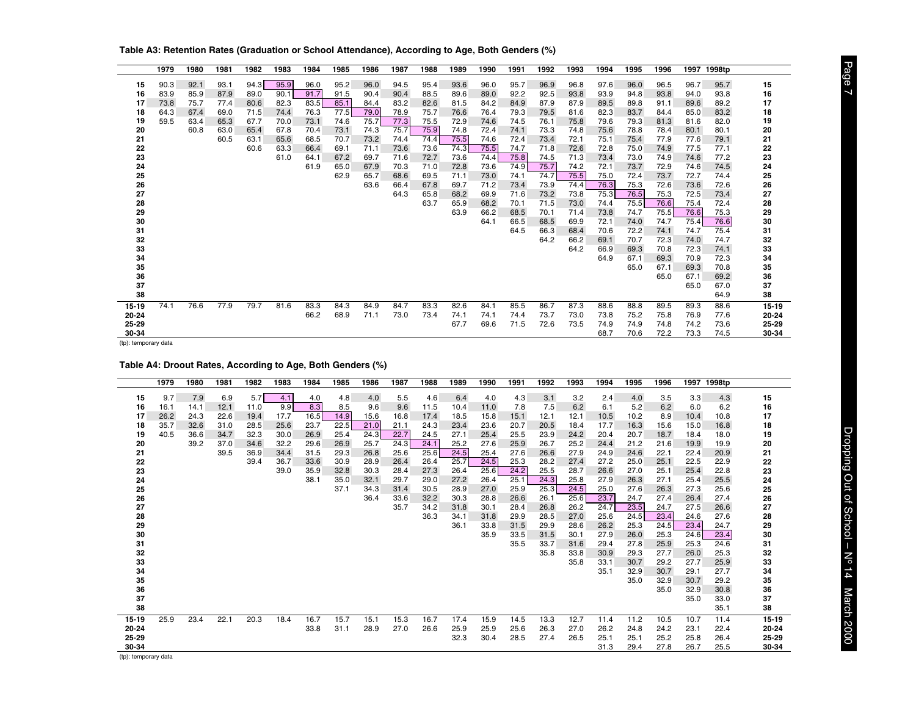|          | 1979 | 1980 | 1981 | 1982 | 1983 | 1984 | 1985 | 1986 | 1987 | 1988 | 1989 | 1990 | 1991         | 1992         | 1993         | 1994         | 1995         | 1996         | 1997         | 1998tp       |           |
|----------|------|------|------|------|------|------|------|------|------|------|------|------|--------------|--------------|--------------|--------------|--------------|--------------|--------------|--------------|-----------|
| 15       | 90.3 | 92.1 | 93.1 | 94.3 | 95.9 | 96.0 | 95.2 | 96.0 | 94.5 | 95.4 | 93.6 | 96.0 | 95.7         | 96.9         | 96.8         | 97.6         | 96.0         | 96.5         | 96.7         | 95.7         | 15        |
| 16       | 83.9 | 85.9 | 87.9 | 89.0 | 90.1 | 91.7 | 91.5 | 90.4 | 90.4 | 88.5 | 89.6 | 89.0 | 92.2         | 92.5         | 93.8         | 93.9         | 94.8         | 93.8         | 94.0         | 93.8         | 16        |
| 17       | 73.8 | 75.7 | 77.4 | 80.6 | 82.3 | 83.5 | 85.1 | 84.4 | 83.2 | 82.6 | 81.5 | 84.2 | 84.9         | 87.9         | 87.9         | 89.5         | 89.8         | 91.1         | 89.6         | 89.2         | 17        |
| 18       | 64.3 | 67.4 | 69.0 | 71.5 | 74.4 | 76.3 | 77.5 | 79.0 | 78.9 | 75.7 | 76.6 | 76.4 | 79.3         | 79.5         | 81.6         | 82.3         | 83.7         | 84.4         | 85.0         | 83.2         | 18        |
| 19       | 59.5 | 63.4 | 65.3 | 67.7 | 70.0 | 73.1 | 74.6 | 75.7 | 77.3 | 75.5 | 72.9 | 74.6 | 74.5         | 76.1         | 75.8         | 79.6         | 79.3         | 81.3         | 81.6         | 82.0         | 19        |
| 20       |      | 60.8 | 63.0 | 65.4 | 67.8 | 70.4 | 73.1 | 74.3 | 75.7 | 75.9 | 74.8 | 72.4 | 74.1         | 73.3         | 74.8         | 75.6         | 78.8         | 78.4         | 80.1         | 80.1         | 20        |
| 21       |      |      | 60.5 | 63.1 | 65.6 | 68.5 | 70.7 | 73.2 | 74.4 | 74.4 | 75.5 | 74.6 | 72.4         | 73.4         | 72.1         | 75.1         | 75.4         | 77.9         | 77.6         | 79.1         | 21        |
| 22       |      |      |      | 60.6 | 63.3 | 66.4 | 69.1 | 71.1 | 73.6 | 73.6 | 74.3 | 75.5 | 74.7         | 71.8         | 72.6         | 72.8         | 75.0         | 74.9         | 77.5         | 77.1         | 22        |
| 23       |      |      |      |      | 61.0 | 64.1 | 67.2 | 69.7 | 71.6 | 72.7 | 73.6 | 74.4 | 75.8         | 74.5         | 71.3         | 73.4         | 73.0         | 74.9         | 74.6         | 77.2         | 23        |
| 24       |      |      |      |      |      | 61.9 | 65.0 | 67.9 | 70.3 | 71.0 | 72.8 | 73.6 | 74.9         | 75.7         | 74.2         | 72.1         | 73.7         | 72.9         | 74.6         | 74.5         | 24        |
| 25       |      |      |      |      |      |      | 62.9 | 65.7 | 68.6 | 69.5 | 71.1 | 73.0 | 74.1         | 74.7         | 75.5         | 75.0         | 72.4         | 73.7         | 72.7         | 74.4         | 25        |
| 26       |      |      |      |      |      |      |      | 63.6 | 66.4 | 67.8 | 69.7 | 71.2 | 73.4         | 73.9         | 74.4         | 76.3         | 75.3         | 72.6         | 73.6         | 72.6         | 26        |
| 27       |      |      |      |      |      |      |      |      | 64.3 | 65.8 | 68.2 | 69.9 | 71.6         | 73.2         | 73.8         | 75.3         | 76.5         | 75.3         | 72.5         | 73.4         | 27        |
| 28       |      |      |      |      |      |      |      |      |      | 63.7 | 65.9 | 68.2 | 70.1         | 71.5         | 73.0         | 74.4         | 75.5         | 76.6         | 75.4         | 72.4         | 28        |
| 29       |      |      |      |      |      |      |      |      |      |      | 63.9 | 66.2 | 68.5         | 70.1         | 71.4         | 73.8         | 74.7         | 75.5         | 76.6         | 75.3         | 29        |
| 30<br>31 |      |      |      |      |      |      |      |      |      |      |      | 64.1 | 66.5<br>64.5 | 68.5<br>66.3 | 69.9<br>68.4 | 72.1<br>70.6 | 74.0<br>72.2 | 74.7<br>74.1 | 75.4<br>74.7 | 76.6<br>75.4 | 30<br>31  |
| 32       |      |      |      |      |      |      |      |      |      |      |      |      |              | 64.2         | 66.2         | 69.1         | 70.7         | 72.3         | 74.0         | 74.7         | 32        |
| 33       |      |      |      |      |      |      |      |      |      |      |      |      |              |              | 64.2         | 66.9         | 69.3         | 70.8         | 72.3         | 74.1         | 33        |
| 34       |      |      |      |      |      |      |      |      |      |      |      |      |              |              |              | 64.9         | 67.1         | 69.3         | 70.9         | 72.3         | 34        |
| 35       |      |      |      |      |      |      |      |      |      |      |      |      |              |              |              |              | 65.0         | 67.1         | 69.3         | 70.8         | 35        |
| 36       |      |      |      |      |      |      |      |      |      |      |      |      |              |              |              |              |              | 65.0         | 67.1         | 69.2         | 36        |
| 37       |      |      |      |      |      |      |      |      |      |      |      |      |              |              |              |              |              |              | 65.0         | 67.0         | 37        |
| 38       |      |      |      |      |      |      |      |      |      |      |      |      |              |              |              |              |              |              |              | 64.9         | 38        |
| 15-19    | 74.1 | 76.6 | 77.9 | 79.7 | 81.6 | 83.3 | 84.3 | 84.9 | 84.7 | 83.3 | 82.6 | 84.1 | 85.5         | 86.7         | 87.3         | 88.6         | 88.8         | 89.5         | 89.3         | 88.6         | $15 - 19$ |
| 20-24    |      |      |      |      |      | 66.2 | 68.9 | 71.1 | 73.0 | 73.4 | 74.1 | 74.1 | 74.4         | 73.7         | 73.0         | 73.8         | 75.2         | 75.8         | 76.9         | 77.6         | 20-24     |
| 25-29    |      |      |      |      |      |      |      |      |      |      | 67.7 | 69.6 | 71.5         | 72.6         | 73.5         | 74.9         | 74.9         | 74.8         | 74.2         | 73.6         | 25-29     |
| 30-34    |      |      |      |      |      |      |      |      |      |      |      |      |              |              |              | 68.7         | 70.6         | 72.2         | 73.3         | 74.5         | 30-34     |

<span id="page-6-0"></span>**Table A3: Retention Rates (Graduation or School Attendance), According to Age, Both Genders (%)**

## **Table A4: Droout Rates, According to Age, Both Genders (%)**

|          | 1979 | 1980 | 1981 | 1982 | 1983 | 1984 | 1985 | 1986 | 1987 | 1988 | 1989 | 1990         | 1991         | 1992         | 1993         | 1994         | 1995         | 1996         | 1997         | 1998tp       |          |
|----------|------|------|------|------|------|------|------|------|------|------|------|--------------|--------------|--------------|--------------|--------------|--------------|--------------|--------------|--------------|----------|
| 15       | 9.7  | 7.9  | 6.9  | 5.7  | 4.1  | 4.0  | 4.8  | 4.0  | 5.5  | 4.6  | 6.4  | 4.0          | 4.3          | 3.1          | 3.2          | 2.4          | 4.0          | 3.5          | 3.3          | 4.3          | 15       |
| 16       | 16.1 | 14.1 | 12.1 | 11.0 | 9.9  | 8.3  | 8.5  | 9.6  | 9.6  | 11.5 | 10.4 | 11.0         | 7.8          | 7.5          | 6.2          | 6.1          | 5.2          | 6.2          | 6.0          | 6.2          | 16       |
| 17       | 26.2 | 24.3 | 22.6 | 19.4 | 17.7 | 16.5 | 14.9 | 15.6 | 16.8 | 17.4 | 18.5 | 15.8         | 15.1         | 12.1         | 12.1         | 10.5         | 10.2         | 8.9          | 10.4         | 10.8         | 17       |
| 18       | 35.7 | 32.6 | 31.0 | 28.5 | 25.6 | 23.7 | 22.5 | 21.0 | 21.1 | 24.3 | 23.4 | 23.6         | 20.7         | 20.5         | 18.4         | 17.7         | 16.3         | 15.6         | 15.0         | 16.8         | 18       |
| 19       | 40.5 | 36.6 | 34.7 | 32.3 | 30.0 | 26.9 | 25.4 | 24.3 | 22.7 | 24.5 | 27.1 | 25.4         | 25.5         | 23.9         | 24.2         | 20.4         | 20.7         | 18.7         | 18.4         | 18.0         | 19       |
| 20       |      | 39.2 | 37.0 | 34.6 | 32.2 | 29.6 | 26.9 | 25.7 | 24.3 | 24.1 | 25.2 | 27.6         | 25.9         | 26.7         | 25.2         | 24.4         | 21.2         | 21.6         | 19.9         | 19.9         | 20       |
| 21       |      |      | 39.5 | 36.9 | 34.4 | 31.5 | 29.3 | 26.8 | 25.6 | 25.6 | 24.5 | 25.4         | 27.6         | 26.6         | 27.9         | 24.9         | 24.6         | 22.1         | 22.4         | 20.9         | 21       |
| 22       |      |      |      | 39.4 | 36.7 | 33.6 | 30.9 | 28.9 | 26.4 | 26.4 | 25.7 | 24.5         | 25.3         | 28.2         | 27.4         | 27.2         | 25.0         | 25.1         | 22.5         | 22.9         | 22       |
| 23       |      |      |      |      | 39.0 | 35.9 | 32.8 | 30.3 | 28.4 | 27.3 | 26.4 | 25.6         | 24.2         | 25.5         | 28.7         | 26.6         | 27.0         | 25.1         | 25.4         | 22.8         | 23       |
| 24       |      |      |      |      |      | 38.1 | 35.0 | 32.1 | 29.7 | 29.0 | 27.2 | 26.4         | 25.1         | 24.3         | 25.8         | 27.9         | 26.3         | 27.1         | 25.4         | 25.5         | 24       |
| 25       |      |      |      |      |      |      | 37.1 | 34.3 | 31.4 | 30.5 | 28.9 | 27.0         | 25.9         | 25.3         | 24.5         | 25.0         | 27.6         | 26.3         | 27.3         | 25.6         | 25       |
| 26       |      |      |      |      |      |      |      | 36.4 | 33.6 | 32.2 | 30.3 | 28.8         | 26.6         | 26.1         | 25.6         | 23.7         | 24.7         | 27.4         | 26.4         | 27.4         | 26       |
| 27       |      |      |      |      |      |      |      |      | 35.7 | 34.2 | 31.8 | 30.1         | 28.4         | 26.8         | 26.2         | 24.7         | 23.5         | 24.7         | 27.5         | 26.6         | 27       |
| 28       |      |      |      |      |      |      |      |      |      | 36.3 | 34.1 | 31.8         | 29.9         | 28.5         | 27.0         | 25.6         | 24.5         | 23.4         | 24.6         | 27.6         | 28       |
| 29       |      |      |      |      |      |      |      |      |      |      | 36.1 | 33.8<br>35.9 | 31.5         | 29.9         | 28.6         | 26.2<br>27.9 | 25.3<br>26.0 | 24.5         | 23.4<br>24.6 | 24.7         | 29<br>30 |
| 30<br>31 |      |      |      |      |      |      |      |      |      |      |      |              | 33.5<br>35.5 | 31.5<br>33.7 | 30.1<br>31.6 | 29.4         | 27.8         | 25.3<br>25.9 | 25.3         | 23.4<br>24.6 | 31       |
| 32       |      |      |      |      |      |      |      |      |      |      |      |              |              | 35.8         | 33.8         | 30.9         | 29.3         | 27.7         | 26.0         | 25.3         | 32       |
| 33       |      |      |      |      |      |      |      |      |      |      |      |              |              |              | 35.8         | 33.1         | 30.7         | 29.2         | 27.7         | 25.9         | 33       |
| 34       |      |      |      |      |      |      |      |      |      |      |      |              |              |              |              | 35.1         | 32.9         | 30.7         | 29.1         | 27.7         | 34       |
| 35       |      |      |      |      |      |      |      |      |      |      |      |              |              |              |              |              | 35.0         | 32.9         | 30.7         | 29.2         | 35       |
| 36       |      |      |      |      |      |      |      |      |      |      |      |              |              |              |              |              |              | 35.0         | 32.9         | 30.8         | 36       |
| 37       |      |      |      |      |      |      |      |      |      |      |      |              |              |              |              |              |              |              | 35.0         | 33.0         | 37       |
| 38       |      |      |      |      |      |      |      |      |      |      |      |              |              |              |              |              |              |              |              | 35.1         | 38       |
| 15-19    | 25.9 | 23.4 | 22.1 | 20.3 | 18.4 | 16.7 | 15.7 | 15.1 | 15.3 | 16.7 | 17.4 | 15.9         | 14.5         | 13.3         | 12.7         | 11.4         | 11.2         | 10.5         | 10.7         | 11.4         | 15-19    |
| 20-24    |      |      |      |      |      | 33.8 | 31.1 | 28.9 | 27.0 | 26.6 | 25.9 | 25.9         | 25.6         | 26.3         | 27.0         | 26.2         | 24.8         | 24.2         | 23.1         | 22.4         | 20-24    |
| 25-29    |      |      |      |      |      |      |      |      |      |      | 32.3 | 30.4         | 28.5         | 27.4         | 26.5         | 25.1         | 25.1         | 25.2         | 25.8         | 26.4         | 25-29    |
| 30-34    |      |      |      |      |      |      |      |      |      |      |      |              |              |              |              | 31.3         | 29.4         | 27.8         | 26.7         | 25.5         | 30-34    |

 Page 7 Dropping Out of School – No 14 March 2000 Dropping Out of School - Nº 14 March 2000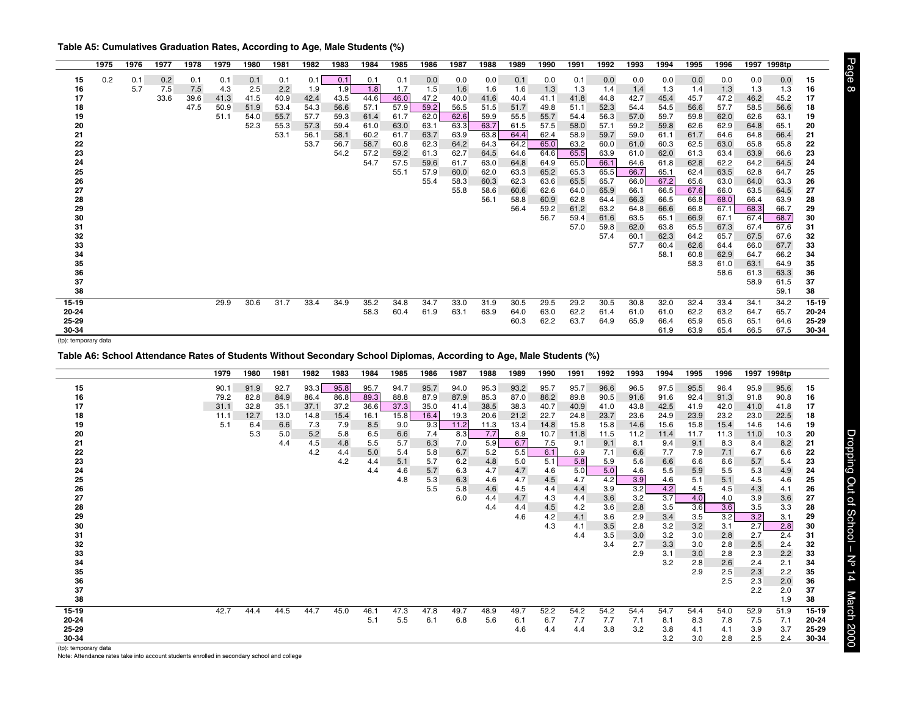<span id="page-7-0"></span>**Table A5: Cumulatives Graduation Rates, According to Age, Male Students (%)**

|          | 1975 | 1976 | 1977 | 1978 | 1979 | 1980 | 1981 | 1982 | 1983 | 1984 | 1985 | 1986 | 1987         | 1988         | 1989         | 1990         | 1991         | 1992         | 1993         | 1994         | 1995         | 1996         | 1997         | 1998tp       |           |
|----------|------|------|------|------|------|------|------|------|------|------|------|------|--------------|--------------|--------------|--------------|--------------|--------------|--------------|--------------|--------------|--------------|--------------|--------------|-----------|
| 15       | 0.2  | 0.1  | 0.2  | 0.1  | 0.1  | 0.1  | 0.1  | 0.1  | 0.1  | 0.1  | 0.1  | 0.0  | 0.0          | 0.0          | 0.1          | 0.0          | 0.1          | 0.0          | 0.0          | 0.0          | 0.0          | 0.0          | 0.0          | 0.0          | 15        |
| 16       |      | 5.7  | 7.5  | 7.5  | 4.3  | 2.5  | 2.2  | 1.9  | 1.9  | 1.8  | 1.7  | 1.5  | 1.6          | 1.6          | 1.6          | 1.3          | 1.3          | 1.4          | 1.4          | 1.3          | 1.4          | 1.3          | 1.3          | 1.3          | 16        |
| 17       |      |      | 33.6 | 39.6 | 41.3 | 41.5 | 40.9 | 42.4 | 43.5 | 44.6 | 46.0 | 47.2 | 40.0         | 41.6         | 40.4         | 41.1         | 41.8         | 44.8         | 42.7         | 45.4         | 45.7         | 47.2         | 46.2         | 45.2         | 17        |
| 18       |      |      |      | 47.5 | 50.9 | 51.9 | 53.4 | 54.3 | 56.6 | 57.1 | 57.9 | 59.2 | 56.5         | 51.5         | 51.7         | 49.8         | 51.1         | 52.3         | 54.4         | 54.5         | 56.6         | 57.7         | 58.5         | 56.6         | 18        |
| 19       |      |      |      |      | 51.1 | 54.0 | 55.7 | 57.7 | 59.3 | 61.4 | 61.7 | 62.0 | 62.6         | 59.9         | 55.5         | 55.7         | 54.4         | 56.3         | 57.0         | 59.7         | 59.8         | 62.0         | 62.6         | 63.1         | 19        |
| 20       |      |      |      |      |      | 52.3 | 55.3 | 57.3 | 59.4 | 61.0 | 63.0 | 63.1 | 63.3         | 63.7         | 61.5         | 57.5         | 58.0         | 57.1         | 59.2         | 59.8         | 62.6         | 62.9         | 64.8         | 65.1         | 20        |
| 21       |      |      |      |      |      |      | 53.1 | 56.1 | 58.1 | 60.2 | 61.7 | 63.7 | 63.9         | 63.8         | 64.4         | 62.4         | 58.9         | 59.7         | 59.0         | 61.1         | 61.7         | 64.6         | 64.8         | 66.4         | 21        |
| 22       |      |      |      |      |      |      |      | 53.7 | 56.7 | 58.7 | 60.8 | 62.3 | 64.2         | 64.3         | 64.2         | 65.0         | 63.2         | 60.0         | 61.0         | 60.3         | 62.5         | 63.0         | 65.8         | 65.8         | 22        |
| 23       |      |      |      |      |      |      |      |      | 54.2 | 57.2 | 59.2 | 61.3 | 62.7         | 64.5         | 64.6         | 64.6         | 65.5         | 63.9         | 61.0         | 62.0         | 61.3         | 63.4         | 63.9         | 66.6         | 23        |
| 24       |      |      |      |      |      |      |      |      |      | 54.7 | 57.5 | 59.6 | 61.7         | 63.0         | 64.8         | 64.9         | 65.0         | 66.1         | 64.6         | 61.8         | 62.8         | 62.2         | 64.2         | 64.5         | 24        |
| 25       |      |      |      |      |      |      |      |      |      |      | 55.1 | 57.9 | 60.0         | 62.0         | 63.3         | 65.2         | 65.3         | 65.5         | 66.7         | 65.1         | 62.4         | 63.5         | 62.8         | 64.7         | 25        |
| 26<br>27 |      |      |      |      |      |      |      |      |      |      |      | 55.4 | 58.3<br>55.8 | 60.3<br>58.6 | 62.3<br>60.6 | 63.6<br>62.6 | 65.5<br>64.0 | 65.7<br>65.9 | 66.0<br>66.1 | 67.2<br>66.5 | 65.6<br>67.6 | 63.0<br>66.0 | 64.0<br>63.5 | 63.3<br>64.5 | 26<br>27  |
| 28       |      |      |      |      |      |      |      |      |      |      |      |      |              | 56.1         | 58.8         | 60.9         | 62.8         | 64.4         | 66.3         | 66.5         | 66.8         | 68.0         | 66.4         | 63.9         | 28        |
| 29       |      |      |      |      |      |      |      |      |      |      |      |      |              |              | 56.4         | 59.2         | 61.2         | 63.2         | 64.8         | 66.6         | 66.8         | 67.1         | 68.3         | 66.7         | 29        |
| 30       |      |      |      |      |      |      |      |      |      |      |      |      |              |              |              | 56.7         | 59.4         | 61.6         | 63.5         | 65.1         | 66.9         | 67.1         | 67.4         | 68.7         | 30        |
| 31       |      |      |      |      |      |      |      |      |      |      |      |      |              |              |              |              | 57.0         | 59.8         | 62.0         | 63.8         | 65.5         | 67.3         | 67.4         | 67.6         | 31        |
| 32       |      |      |      |      |      |      |      |      |      |      |      |      |              |              |              |              |              | 57.4         | 60.1         | 62.3         | 64.2         | 65.7         | 67.5         | 67.6         | 32        |
| 33       |      |      |      |      |      |      |      |      |      |      |      |      |              |              |              |              |              |              | 57.7         | 60.4         | 62.6         | 64.4         | 66.0         | 67.7         | 33        |
| 34       |      |      |      |      |      |      |      |      |      |      |      |      |              |              |              |              |              |              |              | 58.1         | 60.8         | 62.9         | 64.7         | 66.2         | 34        |
| 35       |      |      |      |      |      |      |      |      |      |      |      |      |              |              |              |              |              |              |              |              | 58.3         | 61.0         | 63.1         | 64.9         | 35        |
| 36       |      |      |      |      |      |      |      |      |      |      |      |      |              |              |              |              |              |              |              |              |              | 58.6         | 61.3         | 63.3         | 36        |
| 37       |      |      |      |      |      |      |      |      |      |      |      |      |              |              |              |              |              |              |              |              |              |              | 58.9         | 61.5         | 37        |
| 38       |      |      |      |      |      |      |      |      |      |      |      |      |              |              |              |              |              |              |              |              |              |              |              | 59.1         | 38        |
| 15-19    |      |      |      |      | 29.9 | 30.6 | 31.7 | 33.4 | 34.9 | 35.2 | 34.8 | 34.7 | 33.0         | 31.9         | 30.5         | 29.5         | 29.2         | 30.5         | 30.8         | 32.0         | 32.4         | 33.4         | 34.7         | 34.2         | $15 - 19$ |
| 20-24    |      |      |      |      |      |      |      |      |      | 58.3 | 60.4 | 61.9 | 63.1         | 63.9         | 64.0         | 63.0         | 62.2         | 61.4         | 61.0         | 61.0         | 62.2         | 63.2         | 64.7         | 65.7         | 20-24     |
| 25-29    |      |      |      |      |      |      |      |      |      |      |      |      |              |              | 60.3         | 62.2         | 63.7         | 64.9         | 65.9         | 66.4         | 65.9         | 65.6         | 65.1         | 64.6         | 25-29     |
| 30-34    |      |      |      |      |      |      |      |      |      |      |      |      |              |              |              |              |              |              |              | 61.9         | 63.9         | 65.4         | 66.5         | 67.5         | 30-34     |

**Table A6: School Attendance Rates of Students Without Secondary School Diplomas, According to Age, Male Students (%)**

|                                   | 1979 | 1980 | 1981 | 1982 | 1983 | 1984 | 1985 | 1986 | 1987 | 1988 | 1989 | 1990 | 1991 | 1992 | 1993 | 1994 | 1995 | 1996 | 1997 | 1998tp |           |
|-----------------------------------|------|------|------|------|------|------|------|------|------|------|------|------|------|------|------|------|------|------|------|--------|-----------|
| 15                                | 90.1 | 91.9 | 92.7 | 93.3 | 95.8 | 95.7 | 94.7 | 95.7 | 94.0 | 95.3 | 93.2 | 95.7 | 95.7 | 96.6 | 96.5 | 97.5 | 95.5 | 96.4 | 95.9 | 95.6   | 15        |
| 16                                | 79.2 | 82.8 | 84.9 | 86.4 | 86.8 | 89.3 | 88.8 | 87.9 | 87.9 | 85.3 | 87.0 | 86.2 | 89.8 | 90.5 | 91.6 | 91.6 | 92.4 | 91.3 | 91.8 | 90.8   |           |
| 17                                | 31.1 | 32.8 | 35.1 | 37.1 | 37.2 | 36.6 | 37.3 | 35.0 | 41.4 | 38.5 | 38.3 | 40.7 | 40.9 | 41.0 | 43.8 | 42.5 | 41.9 | 42.0 | 41.0 | 41.8   | 16<br>17  |
| 18                                | 11.1 | 12.7 | 13.0 | 14.8 | 15.4 | 16.1 | 15.8 | 16.4 | 19.3 | 20.6 | 21.2 | 22.7 | 24.8 | 23.7 | 23.6 | 24.9 | 23.9 | 23.2 | 23.0 | 22.5   | 18        |
| 19                                | 5.1  | 6.4  | 6.6  | 7.3  | 7.9  | 8.5  | 9.0  | 9.3  | 11.2 | 11.3 | 13.4 | 14.8 | 15.8 | 15.8 | 14.6 | 15.6 | 15.8 | 15.4 | 14.6 | 14.6   | 19        |
| 20                                |      | 5.3  | 5.0  | 5.2  | 5.8  | 6.5  | 6.6  | 7.4  | 8.3  | 7.7  | 8.9  | 10.7 | 11.8 | 11.5 | 11.2 | 11.4 | 11.7 | 11.3 | 11.0 | 10.3   | 20        |
| 21                                |      |      | 4.4  | 4.5  | 4.8  | 5.5  | 5.7  | 6.3  | 7.0  | 5.9  | 6.7  | 7.5  | 9.1  | 9.1  | 8.1  | 9.4  | 9.1  | 8.3  | 8.4  | 8.2    | 21        |
| 22                                |      |      |      | 4.2  | 4.4  | 5.0  | 5.4  | 5.8  | 6.7  | 5.2  | 5.5  | 6.1  | 6.9  | 7.1  | 6.6  | 7.7  | 7.9  | 7.1  | 6.7  | 6.6    | 22        |
| 23                                |      |      |      |      | 4.2  | 4.4  | 5.1  | 5.7  | 6.2  | 4.8  | 5.0  | 5.1  | 5.8  | 5.9  | 5.6  | 6.6  | 6.6  | 6.6  | 5.7  | 5.4    | 23        |
| 24                                |      |      |      |      |      | 4.4  | 4.6  | 5.7  | 6.3  | 4.7  | 4.7  | 4.6  | 5.0  | 5.0  | 4.6  | 5.5  | 5.9  | 5.5  | 5.3  | 4.9    | 24        |
| 25                                |      |      |      |      |      |      | 4.8  | 5.3  | 6.3  | 4.6  | 4.7  | 4.5  | 4.7  | 4.2  | 3.9  | 4.6  | 5.1  | 5.1  | 4.5  | 4.6    | 25        |
| 26                                |      |      |      |      |      |      |      | 5.5  | 5.8  | 4.6  | 4.5  | 4.4  | 4.4  | 3.9  | 3.2  | 4.2  | 4.5  | 4.5  | 4.3  | 4.1    | 26        |
| 27                                |      |      |      |      |      |      |      |      | 6.0  | 4.4  | 4.7  | 4.3  | 4.4  | 3.6  | 3.2  | 3.7  | 4.0  | 4.0  | 3.9  | 3.6    | 27        |
| 28                                |      |      |      |      |      |      |      |      |      | 4.4  | 4.4  | 4.5  | 4.2  | 3.6  | 2.8  | 3.5  | 3.6  | 3.6  | 3.5  | 3.3    | 28        |
| 29                                |      |      |      |      |      |      |      |      |      |      | 4.6  | 4.2  | 4.1  | 3.6  | 2.9  | 3.4  | 3.5  | 3.2  | 3.2  | 3.1    | 29        |
| 30                                |      |      |      |      |      |      |      |      |      |      |      | 4.3  | 4.1  | 3.5  | 2.8  | 3.2  | 3.2  | 3.1  | 2.7  | 2.8    | 30        |
| 31                                |      |      |      |      |      |      |      |      |      |      |      |      | 4.4  | 3.5  | 3.0  | 3.2  | 3.0  | 2.8  | 2.7  | 2.4    | 31        |
| 32                                |      |      |      |      |      |      |      |      |      |      |      |      |      | 3.4  | 2.7  | 3.3  | 3.0  | 2.8  | 2.5  | 2.4    | 32        |
| 33                                |      |      |      |      |      |      |      |      |      |      |      |      |      |      | 2.9  | 3.1  | 3.0  | 2.8  | 2.3  | 2.2    | 33        |
| 34                                |      |      |      |      |      |      |      |      |      |      |      |      |      |      |      | 3.2  | 2.8  | 2.6  | 2.4  | 2.1    | 34        |
| 35                                |      |      |      |      |      |      |      |      |      |      |      |      |      |      |      |      | 2.9  | 2.5  | 2.3  | 2.2    | 35        |
| 36                                |      |      |      |      |      |      |      |      |      |      |      |      |      |      |      |      |      | 2.5  | 2.3  | 2.0    | 36        |
| 37                                |      |      |      |      |      |      |      |      |      |      |      |      |      |      |      |      |      |      | 2.2  | 2.0    | 37        |
| 38                                |      |      |      |      |      |      |      |      |      |      |      |      |      |      |      |      |      |      |      | 1.9    | 38        |
|                                   |      |      |      |      |      |      |      |      |      |      |      |      |      |      |      |      |      |      |      |        |           |
| 15-19                             | 42.7 | 44.4 | 44.5 | 44.7 | 45.0 | 46.1 | 47.3 | 47.8 | 49.7 | 48.9 | 49.7 | 52.2 | 54.2 | 54.2 | 54.4 | 54.7 | 54.4 | 54.0 | 52.9 | 51.9   | $15 - 19$ |
| 20-24                             |      |      |      |      |      | 5.1  | 5.5  | 6.1  | 6.8  | 5.6  | 6.1  | 6.7  | 7.7  | 7.7  | 7.1  | 8.1  | 8.3  | 7.8  | 7.5  | 7.1    | 20-24     |
| 25-29                             |      |      |      |      |      |      |      |      |      |      | 4.6  | 4.4  | 4.4  | 3.8  | 3.2  | 3.8  | 4.1  | 4.1  | 3.9  | 3.7    | 25-29     |
| 30-34<br>$(4n)$ , tannananan data |      |      |      |      |      |      |      |      |      |      |      |      |      |      |      | 3.2  | 3.0  | 2.8  | 2.5  | 2.4    | 30-34     |

(tp): temporary data

Note: Attendance rates take into account students enrolled in secondary school and college

Dropping Out of School - Nº 14 March 2000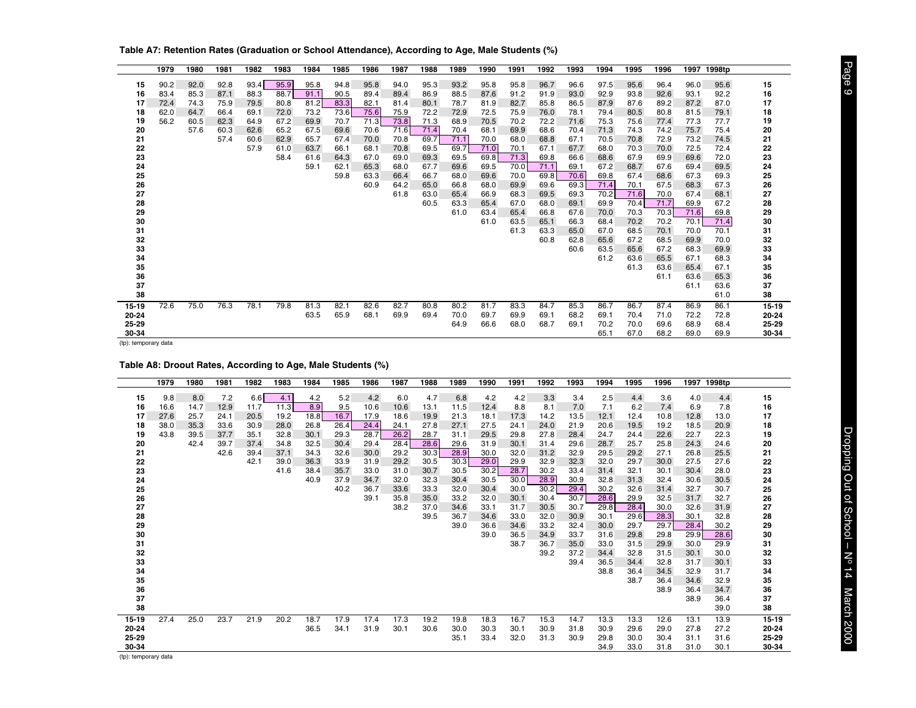|           | 1979 | 1980 | 1981 | 1982 | 1983 | 1984 | 1985 | 1986 | 1987 | 1988 | 1989 | 1990 | 1991 | 1992 | 1993 | 1994 | 1995 | 1996 | 1997 | 1998tp |           |
|-----------|------|------|------|------|------|------|------|------|------|------|------|------|------|------|------|------|------|------|------|--------|-----------|
| 15        | 90.2 | 92.0 | 92.8 | 93.4 | 95.9 | 95.8 | 94.8 | 95.8 | 94.0 | 95.3 | 93.2 | 95.8 | 95.8 | 96.7 | 96.6 | 97.5 | 95.6 | 96.4 | 96.0 | 95.6   | 15        |
| 16        | 83.4 | 85.3 | 87.1 | 88.3 | 88.7 | 91.1 | 90.5 | 89.4 | 89.4 | 86.9 | 88.5 | 87.6 | 91.2 | 91.9 | 93.0 | 92.9 | 93.8 | 92.6 | 93.1 | 92.2   | 16        |
| 17        | 72.4 | 74.3 | 75.9 | 79.5 | 80.8 | 81.2 | 83.3 | 82.1 | 81.4 | 80.1 | 78.7 | 81.9 | 82.7 | 85.8 | 86.5 | 87.9 | 87.6 | 89.2 | 87.2 | 87.0   | 17        |
| 18        | 62.0 | 64.7 | 66.4 | 69.1 | 72.0 | 73.2 | 73.6 | 75.6 | 75.9 | 72.2 | 72.9 | 72.5 | 75.9 | 76.0 | 78.1 | 79.4 | 80.5 | 80.8 | 81.5 | 79.1   | 18        |
| 19        | 56.2 | 60.5 | 62.3 | 64.9 | 67.2 | 69.9 | 70.7 | 71.3 | 73.8 | 71.3 | 68.9 | 70.5 | 70.2 | 72.2 | 71.6 | 75.3 | 75.6 | 77.4 | 77.3 | 77.7   | 19        |
| 20        |      | 57.6 | 60.3 | 62.6 | 65.2 | 67.5 | 69.6 | 70.6 | 71.6 | 71.4 | 70.4 | 68.1 | 69.9 | 68.6 | 70.4 | 71.3 | 74.3 | 74.2 | 75.7 | 75.4   | 20        |
| 21        |      |      | 57.4 | 60.6 | 62.9 | 65.7 | 67.4 | 70.0 | 70.8 | 69.7 | 71.1 | 70.0 | 68.0 | 68.8 | 67.1 | 70.5 | 70.8 | 72.9 | 73.2 | 74.5   | 21        |
| 22        |      |      |      | 57.9 | 61.0 | 63.7 | 66.1 | 68.1 | 70.8 | 69.5 | 69.7 | 71.0 | 70.1 | 67.1 | 67.7 | 68.0 | 70.3 | 70.0 | 72.5 | 72.4   | 22        |
| 23        |      |      |      |      | 58.4 | 61.6 | 64.3 | 67.0 | 69.0 | 69.3 | 69.5 | 69.8 | 71.3 | 69.8 | 66.6 | 68.6 | 67.9 | 69.9 | 69.6 | 72.0   | 23        |
| 24        |      |      |      |      |      | 59.1 | 62.1 | 65.3 | 68.0 | 67.7 | 69.6 | 69.5 | 70.0 | 71.1 | 69.1 | 67.2 | 68.7 | 67.6 | 69.4 | 69.5   | 24        |
| 25        |      |      |      |      |      |      | 59.8 | 63.3 | 66.4 | 66.7 | 68.0 | 69.6 | 70.0 | 69.8 | 70.6 | 69.8 | 67.4 | 68.6 | 67.3 | 69.3   | 25        |
| 26        |      |      |      |      |      |      |      | 60.9 | 64.2 | 65.0 | 66.8 | 68.0 | 69.9 | 69.6 | 69.3 | 71.4 | 70.1 | 67.5 | 68.3 | 67.3   | 26        |
| 27        |      |      |      |      |      |      |      |      | 61.8 | 63.0 | 65.4 | 66.9 | 68.3 | 69.5 | 69.3 | 70.2 | 71.6 | 70.0 | 67.4 | 68.1   | 27        |
| 28        |      |      |      |      |      |      |      |      |      | 60.5 | 63.3 | 65.4 | 67.0 | 68.0 | 69.1 | 69.9 | 70.4 | 71.7 | 69.9 | 67.2   | 28        |
| 29        |      |      |      |      |      |      |      |      |      |      | 61.0 | 63.4 | 65.4 | 66.8 | 67.6 | 70.0 | 70.3 | 70.3 | 71.6 | 69.8   | 29        |
| 30        |      |      |      |      |      |      |      |      |      |      |      | 61.0 | 63.5 | 65.1 | 66.3 | 68.4 | 70.2 | 70.2 | 70.1 | 71.4   | 30        |
| 31        |      |      |      |      |      |      |      |      |      |      |      |      | 61.3 | 63.3 | 65.0 | 67.0 | 68.5 | 70.1 | 70.0 | 70.1   | 31        |
| 32        |      |      |      |      |      |      |      |      |      |      |      |      |      | 60.8 | 62.8 | 65.6 | 67.2 | 68.5 | 69.9 | 70.0   | 32        |
| 33        |      |      |      |      |      |      |      |      |      |      |      |      |      |      | 60.6 | 63.5 | 65.6 | 67.2 | 68.3 | 69.9   | 33        |
| 34        |      |      |      |      |      |      |      |      |      |      |      |      |      |      |      | 61.2 | 63.6 | 65.5 | 67.1 | 68.3   | 34        |
| 35        |      |      |      |      |      |      |      |      |      |      |      |      |      |      |      |      | 61.3 | 63.6 | 65.4 | 67.1   | 35        |
| 36        |      |      |      |      |      |      |      |      |      |      |      |      |      |      |      |      |      | 61.1 | 63.6 | 65.3   | 36        |
| 37        |      |      |      |      |      |      |      |      |      |      |      |      |      |      |      |      |      |      | 61.1 | 63.6   | 37        |
| 38        |      |      |      |      |      |      |      |      |      |      |      |      |      |      |      |      |      |      |      | 61.0   | 38        |
| $15 - 19$ | 72.6 | 75.0 | 76.3 | 78.1 | 79.8 | 81.3 | 82.1 | 82.6 | 82.7 | 80.8 | 80.2 | 81.7 | 83.3 | 84.7 | 85.3 | 86.7 | 86.7 | 87.4 | 86.9 | 86.1   | $15 - 19$ |
| $20 - 24$ |      |      |      |      |      | 63.5 | 65.9 | 68.1 | 69.9 | 69.4 | 70.0 | 69.7 | 69.9 | 69.1 | 68.2 | 69.1 | 70.4 | 71.0 | 72.2 | 72.8   | 20-24     |
| 25-29     |      |      |      |      |      |      |      |      |      |      | 64.9 | 66.6 | 68.0 | 68.7 | 69.1 | 70.2 | 70.0 | 69.6 | 68.9 | 68.4   | $25 - 29$ |
| 30-34     |      |      |      |      |      |      |      |      |      |      |      |      |      |      |      | 65.1 | 67.0 | 68.2 | 69.0 | 69.9   | 30-34     |

<span id="page-8-0"></span>**Table A7: Retention Rates (Graduation or School Attendance), According to Age, Male Students (%)**

## **Table A8: Droout Rates, According to Age, Male Students (%)**

|                      | 1979 | 1980 | 1981 | 1982 | 1983 | 1984 | 1985 | 1986 | 1987 | 1988 | 1989 | 1990 | 1991 | 1992 | 1993 | 1994 | 1995 | 1996 | 1997 | 1998tp |           |
|----------------------|------|------|------|------|------|------|------|------|------|------|------|------|------|------|------|------|------|------|------|--------|-----------|
| 15                   | 9.8  | 8.0  | 7.2  | 6.6  | 4.1  | 4.2  | 5.2  | 4.2  | 6.0  | 4.7  | 6.8  | 4.2  | 4.2  | 3.3  | 3.4  | 2.5  | 4.4  | 3.6  | 4.0  | 4.4    | 15        |
| 16                   | 16.6 | 14.7 | 12.9 | 11.7 | 11.3 | 8.9  | 9.5  | 10.6 | 10.6 | 13.1 | 11.5 | 12.4 | 8.8  | 8.1  | 7.0  | 7.1  | 6.2  | 7.4  | 6.9  | 7.8    | 16        |
| 17                   | 27.6 | 25.7 | 24.1 | 20.5 | 19.2 | 18.8 | 16.7 | 17.9 | 18.6 | 19.9 | 21.3 | 18.1 | 17.3 | 14.2 | 13.5 | 12.1 | 12.4 | 10.8 | 12.8 | 13.0   | 17        |
| 18                   | 38.0 | 35.3 | 33.6 | 30.9 | 28.0 | 26.8 | 26.4 | 24.4 | 24.1 | 27.8 | 27.1 | 27.5 | 24.1 | 24.0 | 21.9 | 20.6 | 19.5 | 19.2 | 18.5 | 20.9   | 18        |
| 19                   | 43.8 | 39.5 | 37.7 | 35.1 | 32.8 | 30.1 | 29.3 | 28.7 | 26.2 | 28.7 | 31.1 | 29.5 | 29.8 | 27.8 | 28.4 | 24.7 | 24.4 | 22.6 | 22.7 | 22.3   | 19        |
| 20                   |      | 42.4 | 39.7 | 37.4 | 34.8 | 32.5 | 30.4 | 29.4 | 28.4 | 28.6 | 29.6 | 31.9 | 30.1 | 31.4 | 29.6 | 28.7 | 25.7 | 25.8 | 24.3 | 24.6   | 20        |
| 21                   |      |      | 42.6 | 39.4 | 37.1 | 34.3 | 32.6 | 30.0 | 29.2 | 30.3 | 28.9 | 30.0 | 32.0 | 31.2 | 32.9 | 29.5 | 29.2 | 27.1 | 26.8 | 25.5   | 21        |
| 22                   |      |      |      | 42.1 | 39.0 | 36.3 | 33.9 | 31.9 | 29.2 | 30.5 | 30.3 | 29.0 | 29.9 | 32.9 | 32.3 | 32.0 | 29.7 | 30.0 | 27.5 | 27.6   | 22        |
| 23                   |      |      |      |      | 41.6 | 38.4 | 35.7 | 33.0 | 31.0 | 30.7 | 30.5 | 30.2 | 28.7 | 30.2 | 33.4 | 31.4 | 32.1 | 30.1 | 30.4 | 28.0   | 23        |
| 24                   |      |      |      |      |      | 40.9 | 37.9 | 34.7 | 32.0 | 32.3 | 30.4 | 30.5 | 30.0 | 28.9 | 30.9 | 32.8 | 31.3 | 32.4 | 30.6 | 30.5   | 24        |
| 25                   |      |      |      |      |      |      | 40.2 | 36.7 | 33.6 | 33.3 | 32.0 | 30.4 | 30.0 | 30.2 | 29.4 | 30.2 | 32.6 | 31.4 | 32.7 | 30.7   | 25        |
| 26                   |      |      |      |      |      |      |      | 39.1 | 35.8 | 35.0 | 33.2 | 32.0 | 30.1 | 30.4 | 30.7 | 28.6 | 29.9 | 32.5 | 31.7 | 32.7   | 26        |
| 27                   |      |      |      |      |      |      |      |      | 38.2 | 37.0 | 34.6 | 33.1 | 31.7 | 30.5 | 30.7 | 29.8 | 28.4 | 30.0 | 32.6 | 31.9   | 27        |
| 28                   |      |      |      |      |      |      |      |      |      | 39.5 | 36.7 | 34.6 | 33.0 | 32.0 | 30.9 | 30.1 | 29.6 | 28.3 | 30.1 | 32.8   | 28        |
| 29                   |      |      |      |      |      |      |      |      |      |      | 39.0 | 36.6 | 34.6 | 33.2 | 32.4 | 30.0 | 29.7 | 29.7 | 28.4 | 30.2   | 29        |
| 30                   |      |      |      |      |      |      |      |      |      |      |      | 39.0 | 36.5 | 34.9 | 33.7 | 31.6 | 29.8 | 29.8 | 29.9 | 28.6   | 30        |
| 31                   |      |      |      |      |      |      |      |      |      |      |      |      | 38.7 | 36.7 | 35.0 | 33.0 | 31.5 | 29.9 | 30.0 | 29.9   | 31        |
| 32                   |      |      |      |      |      |      |      |      |      |      |      |      |      | 39.2 | 37.2 | 34.4 | 32.8 | 31.5 | 30.1 | 30.0   | 32        |
| 33                   |      |      |      |      |      |      |      |      |      |      |      |      |      |      | 39.4 | 36.5 | 34.4 | 32.8 | 31.7 | 30.1   | 33        |
| 34                   |      |      |      |      |      |      |      |      |      |      |      |      |      |      |      | 38.8 | 36.4 | 34.5 | 32.9 | 31.7   | 34        |
| 35                   |      |      |      |      |      |      |      |      |      |      |      |      |      |      |      |      | 38.7 | 36.4 | 34.6 | 32.9   | 35        |
| 36                   |      |      |      |      |      |      |      |      |      |      |      |      |      |      |      |      |      | 38.9 | 36.4 | 34.7   | 36        |
| 37                   |      |      |      |      |      |      |      |      |      |      |      |      |      |      |      |      |      |      | 38.9 | 36.4   | 37        |
| 38                   |      |      |      |      |      |      |      |      |      |      |      |      |      |      |      |      |      |      |      | 39.0   | 38        |
| 15-19                | 27.4 | 25.0 | 23.7 | 21.9 | 20.2 | 18.7 | 17.9 | 17.4 | 17.3 | 19.2 | 19.8 | 18.3 | 16.7 | 15.3 | 14.7 | 13.3 | 13.3 | 12.6 | 13.1 | 13.9   | $15 - 19$ |
| 20-24                |      |      |      |      |      | 36.5 | 34.1 | 31.9 | 30.1 | 30.6 | 30.0 | 30.3 | 30.1 | 30.9 | 31.8 | 30.9 | 29.6 | 29.0 | 27.8 | 27.2   | 20-24     |
| 25-29                |      |      |      |      |      |      |      |      |      |      | 35.1 | 33.4 | 32.0 | 31.3 | 30.9 | 29.8 | 30.0 | 30.4 | 31.1 | 31.6   | 25-29     |
| 30-34                |      |      |      |      |      |      |      |      |      |      |      |      |      |      |      | 34.9 | 33.0 | 31.8 | 31.0 | 30.1   | 30-34     |
| (tp): temporary data |      |      |      |      |      |      |      |      |      |      |      |      |      |      |      |      |      |      |      |        |           |

Page 9 Page 9 Dropping Out of School – No 14 March 2000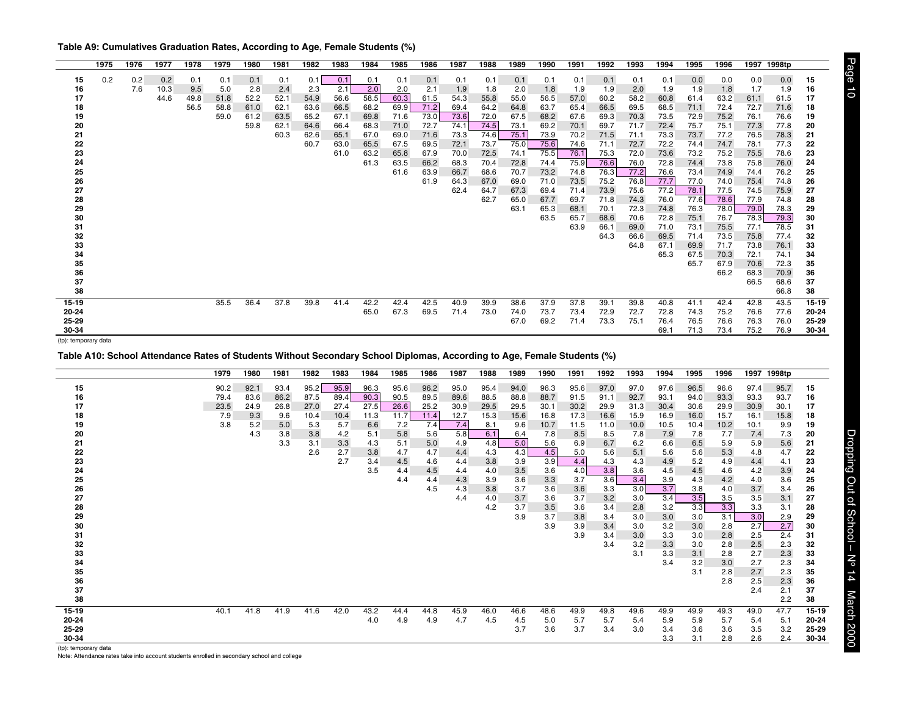<span id="page-9-0"></span>

|                               | 1975 | 1976 | 1977 | 1978 | 1979 | 1980 | 1981 | 1982 | 1983 | 1984 | 1985 | 1986 | 1987 | 1988 | 1989 | 1990 | 1991 | 1992 | 1993 | 1994 | 1995 | 1996         | 1997         | 1998tp       |           |
|-------------------------------|------|------|------|------|------|------|------|------|------|------|------|------|------|------|------|------|------|------|------|------|------|--------------|--------------|--------------|-----------|
| 15                            | 0.2  | 0.2  | 0.2  | 0.1  | 0.1  | 0.1  | 0.1  | 0.1  | 0.1  | 0.1  | 0.1  | 0.1  | 0.1  | 0.1  | 0.1  | 0.1  | 0.1  | 0.1  | 0.1  | 0.1  | 0.0  | 0.0          | 0.0          | 0.0          | 15        |
| 16                            |      | 7.6  | 10.3 | 9.5  | 5.0  | 2.8  | 2.4  | 2.3  | 2.1  | 2.0  | 2.0  | 2.1  | 1.9  | 1.8  | 2.0  | 1.8  | 1.9  | 1.9  | 2.0  | 1.9  | 1.9  | 1.8          | 1.7          | 1.9          | 16        |
| 17                            |      |      | 44.6 | 49.8 | 51.8 | 52.2 | 52.1 | 54.9 | 56.6 | 58.5 | 60.3 | 61.5 | 54.3 | 55.8 | 55.0 | 56.5 | 57.0 | 60.2 | 58.2 | 60.8 | 61.4 | 63.2         | 61.1         | 61.5         | 17        |
| 18                            |      |      |      | 56.5 | 58.8 | 61.0 | 62.1 | 63.6 | 66.5 | 68.2 | 69.9 | 71.2 | 69.4 | 64.2 | 64.8 | 63.7 | 65.4 | 66.5 | 69.5 | 68.5 | 71.1 | 72.4         | 72.7         | 71.6         | 18        |
| 19                            |      |      |      |      | 59.0 | 61.2 | 63.5 | 65.2 | 67.1 | 69.8 | 71.6 | 73.0 | 73.6 | 72.0 | 67.5 | 68.2 | 67.6 | 69.3 | 70.3 | 73.5 | 72.9 | 75.2         | 76.1         | 76.6         | 19        |
| 20                            |      |      |      |      |      | 59.8 | 62.1 | 64.6 | 66.4 | 68.3 | 71.0 | 72.7 | 74.1 | 74.5 | 73.1 | 69.2 | 70.1 | 69.7 | 71.7 | 72.4 | 75.7 | 75.1         | 77.3         | 77.8         | 20        |
| 21                            |      |      |      |      |      |      | 60.3 | 62.6 | 65.1 | 67.0 | 69.0 | 71.6 | 73.3 | 74.6 | 75.1 | 73.9 | 70.2 | 71.5 | 71.1 | 73.3 | 73.7 | 77.2         | 76.5         | 78.3         | 21        |
| 22                            |      |      |      |      |      |      |      | 60.7 | 63.0 | 65.5 | 67.5 | 69.5 | 72.1 | 73.7 | 75.0 | 75.6 | 74.6 | 71.1 | 72.7 | 72.2 | 74.4 | 74.7         | 78.1         | 77.3         | 22        |
| 23                            |      |      |      |      |      |      |      |      | 61.0 | 63.2 | 65.8 | 67.9 | 70.0 | 72.5 | 74.1 | 75.5 | 76.1 | 75.3 | 72.0 | 73.6 | 73.2 | 75.2         | 75.5         | 78.6         | 23        |
| 24                            |      |      |      |      |      |      |      |      |      | 61.3 | 63.5 | 66.2 | 68.3 | 70.4 | 72.8 | 74.4 | 75.9 | 76.6 | 76.0 | 72.8 | 74.4 | 73.8         | 75.8         | 76.0         | 24        |
| 25                            |      |      |      |      |      |      |      |      |      |      | 61.6 | 63.9 | 66.7 | 68.6 | 70.7 | 73.2 | 74.8 | 76.3 | 77.2 | 76.6 | 73.4 | 74.9         | 74.4         | 76.2         | 25        |
| 26                            |      |      |      |      |      |      |      |      |      |      |      | 61.9 | 64.3 | 67.0 | 69.0 | 71.0 | 73.5 | 75.2 | 76.8 | 77.7 | 77.0 | 74.0         | 75.4         | 74.8         | 26        |
| 27                            |      |      |      |      |      |      |      |      |      |      |      |      | 62.4 | 64.7 | 67.3 | 69.4 | 71.4 | 73.9 | 75.6 | 77.2 | 78.1 | 77.5         | 74.5         | 75.9         | 27        |
| 28                            |      |      |      |      |      |      |      |      |      |      |      |      |      | 62.7 | 65.0 | 67.7 | 69.7 | 71.8 | 74.3 | 76.0 | 77.6 | 78.6         | 77.9         | 74.8         | 28        |
| 29                            |      |      |      |      |      |      |      |      |      |      |      |      |      |      | 63.1 | 65.3 | 68.1 | 70.1 | 72.3 | 74.8 | 76.3 | 78.0         | 79.0         | 78.3         | 29        |
| 30                            |      |      |      |      |      |      |      |      |      |      |      |      |      |      |      | 63.5 | 65.7 | 68.6 | 70.6 | 72.8 | 75.1 | 76.7         | 78.3         | 79.3         | 30        |
| 31                            |      |      |      |      |      |      |      |      |      |      |      |      |      |      |      |      | 63.9 | 66.1 | 69.0 | 71.0 | 73.1 | 75.5         | 77.1         | 78.5         | 31        |
| 32                            |      |      |      |      |      |      |      |      |      |      |      |      |      |      |      |      |      | 64.3 | 66.6 | 69.5 | 71.4 | 73.5         | 75.8         | 77.4         | 32        |
| 33                            |      |      |      |      |      |      |      |      |      |      |      |      |      |      |      |      |      |      | 64.8 | 67.1 | 69.9 | 71.7         | 73.8         | 76.1         | 33        |
| 34                            |      |      |      |      |      |      |      |      |      |      |      |      |      |      |      |      |      |      |      | 65.3 | 67.5 | 70.3         | 72.1         | 74.1         | 34        |
| 35                            |      |      |      |      |      |      |      |      |      |      |      |      |      |      |      |      |      |      |      |      | 65.7 | 67.9<br>66.2 | 70.6         | 72.3         | 35        |
| 36<br>37                      |      |      |      |      |      |      |      |      |      |      |      |      |      |      |      |      |      |      |      |      |      |              | 68.3<br>66.5 | 70.9<br>68.6 | 36        |
| 38                            |      |      |      |      |      |      |      |      |      |      |      |      |      |      |      |      |      |      |      |      |      |              |              | 66.8         | 37<br>38  |
|                               |      |      |      |      |      |      |      |      |      |      |      |      |      |      |      |      |      |      |      |      |      |              |              |              |           |
| $15 - 19$                     |      |      |      |      | 35.5 | 36.4 | 37.8 | 39.8 | 41.4 | 42.2 | 42.4 | 42.5 | 40.9 | 39.9 | 38.6 | 37.9 | 37.8 | 39.1 | 39.8 | 40.8 | 41.1 | 42.4         | 42.8         | 43.5         | $15 - 19$ |
| 20-24                         |      |      |      |      |      |      |      |      |      | 65.0 | 67.3 | 69.5 | 71.4 | 73.0 | 74.0 | 73.7 | 73.4 | 72.9 | 72.7 | 72.8 | 74.3 | 75.2         | 76.6         | 77.6         | 20-24     |
| 25-29                         |      |      |      |      |      |      |      |      |      |      |      |      |      |      | 67.0 | 69.2 | 71.4 | 73.3 | 75.1 | 76.4 | 76.5 | 76.6         | 76.3         | 76.0         | 25-29     |
| 30-34<br>(tp): temporary data |      |      |      |      |      |      |      |      |      |      |      |      |      |      |      |      |      |      |      | 69.1 | 71.3 | 73.4         | 75.2         | 76.9         | 30-34     |

**Table A10: School Attendance Rates of Students Without Secondary School Diplomas, According to Age, Female Students (%)**

|           | 1979 | 1980 | 1981 | 1982 | 1983 | 1984 | 1985 | 1986 | 1987 | 1988 | 1989 | 1990 | 1991 | 1992 | 1993 | 1994 | 1995 | 1996 | 1997 | 1998tp |           |
|-----------|------|------|------|------|------|------|------|------|------|------|------|------|------|------|------|------|------|------|------|--------|-----------|
| 15        | 90.2 | 92.1 | 93.4 | 95.2 | 95.9 | 96.3 | 95.6 | 96.2 | 95.0 | 95.4 | 94.0 | 96.3 | 95.6 | 97.0 | 97.0 | 97.6 | 96.5 | 96.6 | 97.4 | 95.7   | 15        |
| 16        | 79.4 | 83.6 | 86.2 | 87.5 | 89.4 | 90.3 | 90.5 | 89.5 | 89.6 | 88.5 | 88.8 | 88.7 | 91.5 | 91.1 | 92.7 | 93.1 | 94.0 | 93.3 | 93.3 | 93.7   | 16        |
| 17        | 23.5 | 24.9 | 26.8 | 27.0 | 27.4 | 27.5 | 26.6 | 25.2 | 30.9 | 29.5 | 29.5 | 30.1 | 30.2 | 29.9 | 31.3 | 30.4 | 30.6 | 29.9 | 30.9 | 30.1   | 17        |
| 18        | 7.9  | 9.3  | 9.6  | 10.4 | 10.4 | 11.3 | 11.7 | 11.4 | 12.7 | 15.3 | 15.6 | 16.8 | 17.3 | 16.6 | 15.9 | 16.9 | 16.0 | 15.7 | 16.1 | 15.8   | 18        |
| 19        | 3.8  | 5.2  | 5.0  | 5.3  | 5.7  | 6.6  | 7.2  | 7.4  | 7.4  | 8.1  | 9.6  | 10.7 | 11.5 | 11.0 | 10.0 | 10.5 | 10.4 | 10.2 | 10.1 | 9.9    | 19        |
| 20        |      | 4.3  | 3.8  | 3.8  | 4.2  | 5.1  | 5.8  | 5.6  | 5.8  | 6.1  | 6.4  | 7.8  | 8.5  | 8.5  | 7.8  | 7.9  | 7.8  | 7.7  | 7.4  | 7.3    | 20        |
| 21        |      |      | 3.3  | 3.1  | 3.3  | 4.3  | 5.1  | 5.0  | 4.9  | 4.8  | 5.0  | 5.6  | 6.9  | 6.7  | 6.2  | 6.6  | 6.5  | 5.9  | 5.9  | 5.6    | 21        |
| 22        |      |      |      | 2.6  | 2.7  | 3.8  | 4.7  | 4.7  | 4.4  | 4.3  | 4.3  | 4.5  | 5.0  | 5.6  | 5.1  | 5.6  | 5.6  | 5.3  | 4.8  | 4.7    | 22        |
| 23        |      |      |      |      | 2.7  | 3.4  | 4.5  | 4.6  | 4.4  | 3.8  | 3.9  | 3.9  | 4.4  | 4.3  | 4.3  | 4.9  | 5.2  | 4.9  | 4.4  | 4.1    | 23        |
| 24        |      |      |      |      |      | 3.5  | 4.4  | 4.5  | 4.4  | 4.0  | 3.5  | 3.6  | 4.0  | 3.8  | 3.6  | 4.5  | 4.5  | 4.6  | 4.2  | 3.9    | 24        |
| 25        |      |      |      |      |      |      | 4.4  | 4.4  | 4.3  | 3.9  | 3.6  | 3.3  | 3.7  | 3.6  | 3.4  | 3.9  | 4.3  | 4.2  | 4.0  | 3.6    | 25        |
| 26        |      |      |      |      |      |      |      | 4.5  | 4.3  | 3.8  | 3.7  | 3.6  | 3.6  | 3.3  | 3.0  | 3.7  | 3.8  | 4.0  | 3.7  | 3.4    | 26        |
| 27        |      |      |      |      |      |      |      |      | 4.4  | 4.0  | 3.7  | 3.6  | 3.7  | 3.2  | 3.0  | 3.4  | 3.5  | 3.5  | 3.5  | 3.1    | 27        |
| 28        |      |      |      |      |      |      |      |      |      | 4.2  | 3.7  | 3.5  | 3.6  | 3.4  | 2.8  | 3.2  | 3.3  | 3.3  | 3.3  | 3.1    | 28        |
| 29        |      |      |      |      |      |      |      |      |      |      | 3.9  | 3.7  | 3.8  | 3.4  | 3.0  | 3.0  | 3.0  | 3.1  | 3.0  | 2.9    | 29        |
| 30        |      |      |      |      |      |      |      |      |      |      |      | 3.9  | 3.9  | 3.4  | 3.0  | 3.2  | 3.0  | 2.8  | 2.7  | 2.7    | 30        |
| 31        |      |      |      |      |      |      |      |      |      |      |      |      | 3.9  | 3.4  | 3.0  | 3.3  | 3.0  | 2.8  | 2.5  | 2.4    | 31        |
| 32        |      |      |      |      |      |      |      |      |      |      |      |      |      | 3.4  | 3.2  | 3.3  | 3.0  | 2.8  | 2.5  | 2.3    | 32        |
| 33        |      |      |      |      |      |      |      |      |      |      |      |      |      |      | 3.1  | 3.3  | 3.1  | 2.8  | 2.7  | 2.3    | 33        |
| 34        |      |      |      |      |      |      |      |      |      |      |      |      |      |      |      | 3.4  | 3.2  | 3.0  | 2.7  | 2.3    | 34        |
| 35        |      |      |      |      |      |      |      |      |      |      |      |      |      |      |      |      | 3.1  | 2.8  | 2.7  | 2.3    | 35        |
| 36        |      |      |      |      |      |      |      |      |      |      |      |      |      |      |      |      |      | 2.8  | 2.5  | 2.3    | 36        |
| 37        |      |      |      |      |      |      |      |      |      |      |      |      |      |      |      |      |      |      | 2.4  | 2.1    | 37        |
| 38        |      |      |      |      |      |      |      |      |      |      |      |      |      |      |      |      |      |      |      | 2.2    | 38        |
| $15 - 19$ | 40.1 | 41.8 | 41.9 | 41.6 | 42.0 | 43.2 | 44.4 | 44.8 | 45.9 | 46.0 | 46.6 | 48.6 | 49.9 | 49.8 | 49.6 | 49.9 | 49.9 | 49.3 | 49.0 | 47.7   | $15 - 19$ |
| 20-24     |      |      |      |      |      | 4.0  | 4.9  | 4.9  | 4.7  | 4.5  | 4.5  | 5.0  | 5.7  | 5.7  | 5.4  | 5.9  | 5.9  | 5.7  | 5.4  | 5.1    | 20-24     |
| 25-29     |      |      |      |      |      |      |      |      |      |      | 3.7  | 3.6  | 3.7  | 3.4  | 3.0  | 3.4  | 3.6  | 3.6  | 3.5  | 3.2    | 25-29     |
| 30-34     |      |      |      |      |      |      |      |      |      |      |      |      |      |      |      | 3.3  | 3.1  | 2.8  | 2.6  | 2.4    | 30-34     |

Page 10 Dropping Out of School – No 14 March 2000

Dropping Out of School - Nº 14 March 2000

Page 10

(tp): temporary data

Note: Attendance rates take into account students enrolled in secondary school and college